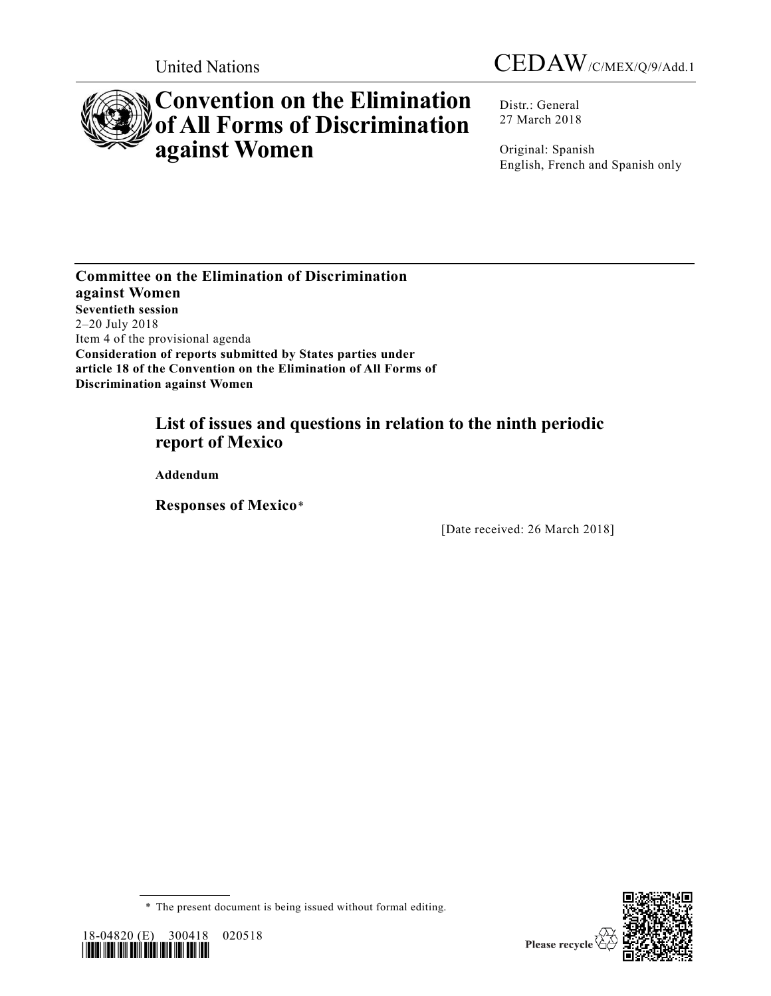



# **Convention on the Elimination of All Forms of Discrimination against Women**

Distr.: General 27 March 2018

Original: Spanish English, French and Spanish only

**Committee on the Elimination of Discrimination against Women Seventieth session** 2–20 July 2018 Item 4 of the provisional agenda **Consideration of reports submitted by States parties under article 18 of the Convention on the Elimination of All Forms of Discrimination against Women**

## **List of issues and questions in relation to the ninth periodic report of Mexico**

**Addendum**

**Responses of Mexico**\*

[Date received: 26 March 2018]







Please recycle  $\Diamond$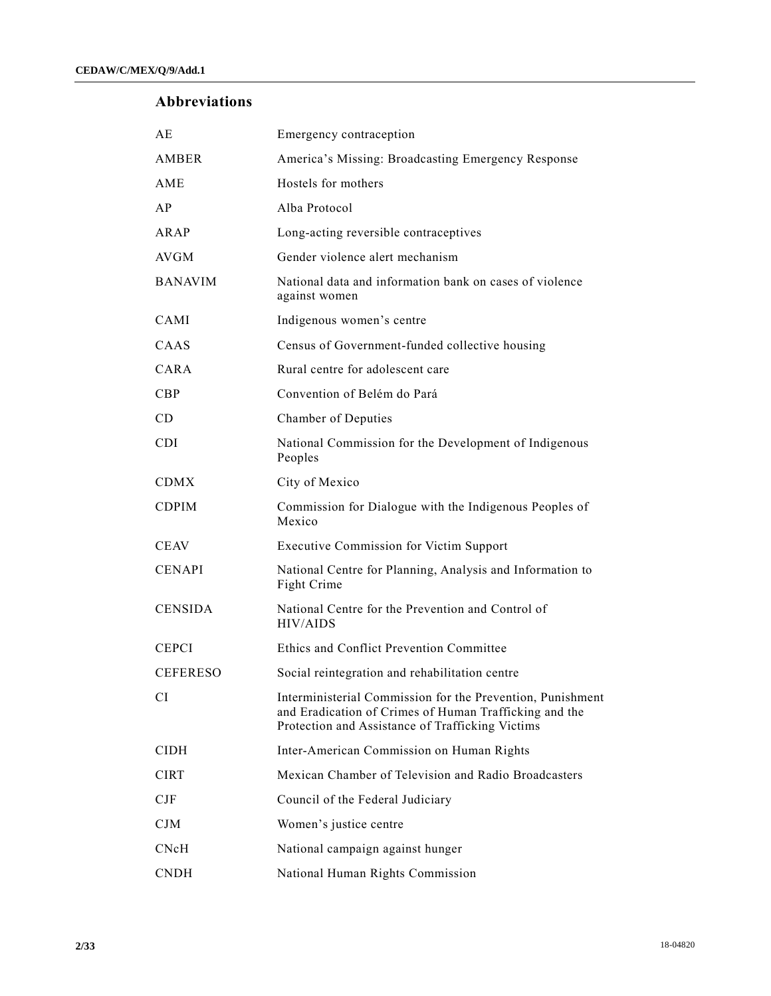## **Abbreviations**

| AE              | Emergency contraception                                                                                                                                                  |
|-----------------|--------------------------------------------------------------------------------------------------------------------------------------------------------------------------|
| AMBER           | America's Missing: Broadcasting Emergency Response                                                                                                                       |
| AME             | Hostels for mothers                                                                                                                                                      |
| AP              | Alba Protocol                                                                                                                                                            |
| ARAP            | Long-acting reversible contraceptives                                                                                                                                    |
| <b>AVGM</b>     | Gender violence alert mechanism                                                                                                                                          |
| <b>BANAVIM</b>  | National data and information bank on cases of violence<br>against women                                                                                                 |
| CAMI            | Indigenous women's centre                                                                                                                                                |
| CAAS            | Census of Government-funded collective housing                                                                                                                           |
| CARA            | Rural centre for adolescent care                                                                                                                                         |
| CBP             | Convention of Belém do Pará                                                                                                                                              |
| CD              | Chamber of Deputies                                                                                                                                                      |
| <b>CDI</b>      | National Commission for the Development of Indigenous<br>Peoples                                                                                                         |
| <b>CDMX</b>     | City of Mexico                                                                                                                                                           |
| <b>CDPIM</b>    | Commission for Dialogue with the Indigenous Peoples of<br>Mexico                                                                                                         |
| <b>CEAV</b>     | <b>Executive Commission for Victim Support</b>                                                                                                                           |
| <b>CENAPI</b>   | National Centre for Planning, Analysis and Information to<br>Fight Crime                                                                                                 |
| <b>CENSIDA</b>  | National Centre for the Prevention and Control of<br><b>HIV/AIDS</b>                                                                                                     |
| <b>CEPCI</b>    | Ethics and Conflict Prevention Committee                                                                                                                                 |
| <b>CEFERESO</b> | Social reintegration and rehabilitation centre                                                                                                                           |
| <b>CI</b>       | Interministerial Commission for the Prevention, Punishment<br>and Eradication of Crimes of Human Trafficking and the<br>Protection and Assistance of Trafficking Victims |
| <b>CIDH</b>     | Inter-American Commission on Human Rights                                                                                                                                |
| <b>CIRT</b>     | Mexican Chamber of Television and Radio Broadcasters                                                                                                                     |
| CIF             | Council of the Federal Judiciary                                                                                                                                         |
| CJM             | Women's justice centre                                                                                                                                                   |
| CNcH            | National campaign against hunger                                                                                                                                         |
| <b>CNDH</b>     | National Human Rights Commission                                                                                                                                         |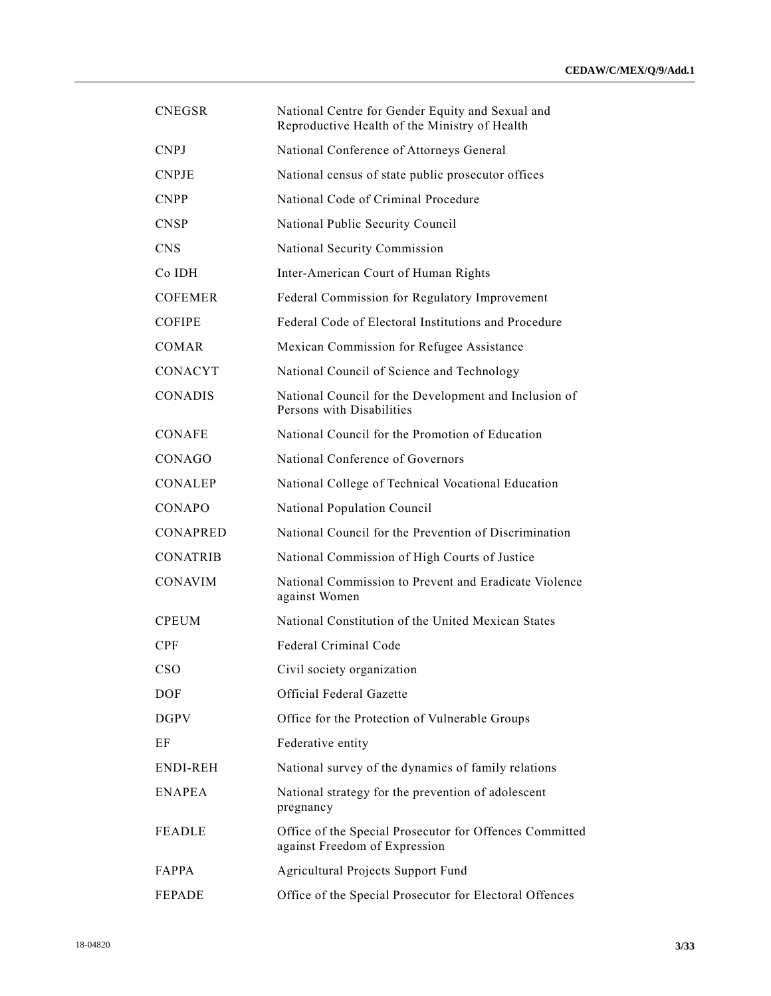| <b>CNEGSR</b>   | National Centre for Gender Equity and Sexual and<br>Reproductive Health of the Ministry of Health |
|-----------------|---------------------------------------------------------------------------------------------------|
| <b>CNPJ</b>     | National Conference of Attorneys General                                                          |
| <b>CNPJE</b>    | National census of state public prosecutor offices                                                |
| <b>CNPP</b>     | National Code of Criminal Procedure                                                               |
| <b>CNSP</b>     | National Public Security Council                                                                  |
| <b>CNS</b>      | National Security Commission                                                                      |
| Co IDH          | Inter-American Court of Human Rights                                                              |
| <b>COFEMER</b>  | Federal Commission for Regulatory Improvement                                                     |
| <b>COFIPE</b>   | Federal Code of Electoral Institutions and Procedure                                              |
| <b>COMAR</b>    | Mexican Commission for Refugee Assistance                                                         |
| <b>CONACYT</b>  | National Council of Science and Technology                                                        |
| <b>CONADIS</b>  | National Council for the Development and Inclusion of<br>Persons with Disabilities                |
| <b>CONAFE</b>   | National Council for the Promotion of Education                                                   |
| CONAGO          | National Conference of Governors                                                                  |
| <b>CONALEP</b>  | National College of Technical Vocational Education                                                |
| CONAPO          | National Population Council                                                                       |
| <b>CONAPRED</b> | National Council for the Prevention of Discrimination                                             |
| <b>CONATRIB</b> | National Commission of High Courts of Justice                                                     |
| <b>CONAVIM</b>  | National Commission to Prevent and Eradicate Violence<br>against Women                            |
| <b>CPEUM</b>    | National Constitution of the United Mexican States                                                |
| CPF             | Federal Criminal Code                                                                             |
| <b>CSO</b>      | Civil society organization                                                                        |
| <b>DOF</b>      | Official Federal Gazette                                                                          |
| <b>DGPV</b>     | Office for the Protection of Vulnerable Groups                                                    |
| ΕF              | Federative entity                                                                                 |
| <b>ENDI-REH</b> | National survey of the dynamics of family relations                                               |
| <b>ENAPEA</b>   | National strategy for the prevention of adolescent<br>pregnancy                                   |
| <b>FEADLE</b>   | Office of the Special Prosecutor for Offences Committed<br>against Freedom of Expression          |
| FAPPA           | Agricultural Projects Support Fund                                                                |
| <b>FEPADE</b>   | Office of the Special Prosecutor for Electoral Offences                                           |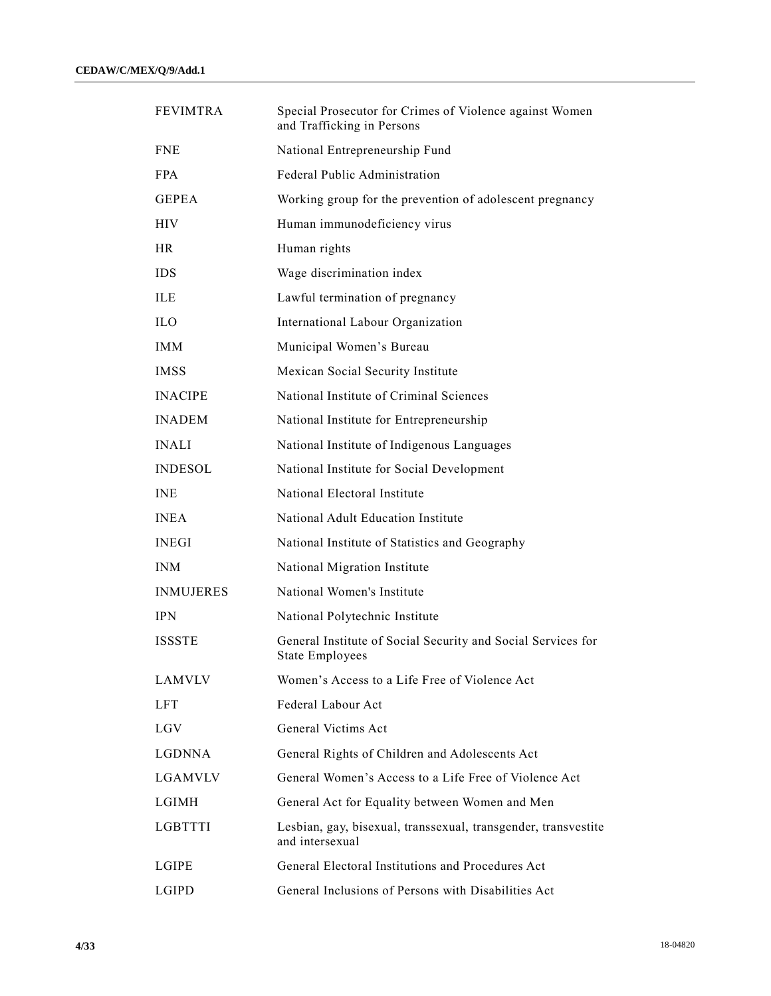| <b>FEVIMTRA</b>  | Special Prosecutor for Crimes of Violence against Women<br>and Trafficking in Persons  |
|------------------|----------------------------------------------------------------------------------------|
| <b>FNE</b>       | National Entrepreneurship Fund                                                         |
| <b>FPA</b>       | Federal Public Administration                                                          |
| <b>GEPEA</b>     | Working group for the prevention of adolescent pregnancy                               |
| <b>HIV</b>       | Human immunodeficiency virus                                                           |
| <b>HR</b>        | Human rights                                                                           |
| <b>IDS</b>       | Wage discrimination index                                                              |
| <b>ILE</b>       | Lawful termination of pregnancy                                                        |
| <b>ILO</b>       | International Labour Organization                                                      |
| <b>IMM</b>       | Municipal Women's Bureau                                                               |
| <b>IMSS</b>      | Mexican Social Security Institute                                                      |
| <b>INACIPE</b>   | National Institute of Criminal Sciences                                                |
| <b>INADEM</b>    | National Institute for Entrepreneurship                                                |
| <b>INALI</b>     | National Institute of Indigenous Languages                                             |
| <b>INDESOL</b>   | National Institute for Social Development                                              |
| <b>INE</b>       | National Electoral Institute                                                           |
| <b>INEA</b>      | National Adult Education Institute                                                     |
| <b>INEGI</b>     | National Institute of Statistics and Geography                                         |
| <b>INM</b>       | National Migration Institute                                                           |
| <b>INMUJERES</b> | National Women's Institute                                                             |
| <b>IPN</b>       | National Polytechnic Institute                                                         |
| <b>ISSSTE</b>    | General Institute of Social Security and Social Services for<br><b>State Employees</b> |
| <b>LAMVLV</b>    | Women's Access to a Life Free of Violence Act                                          |
| <b>LFT</b>       | Federal Labour Act                                                                     |
| <b>LGV</b>       | General Victims Act                                                                    |
| <b>LGDNNA</b>    | General Rights of Children and Adolescents Act                                         |
| <b>LGAMVLV</b>   | General Women's Access to a Life Free of Violence Act                                  |
| LGIMH            | General Act for Equality between Women and Men                                         |
| LGBTTTI          | Lesbian, gay, bisexual, transsexual, transgender, transvestite<br>and intersexual      |
| LGIPE            | General Electoral Institutions and Procedures Act                                      |
| LGIPD            | General Inclusions of Persons with Disabilities Act                                    |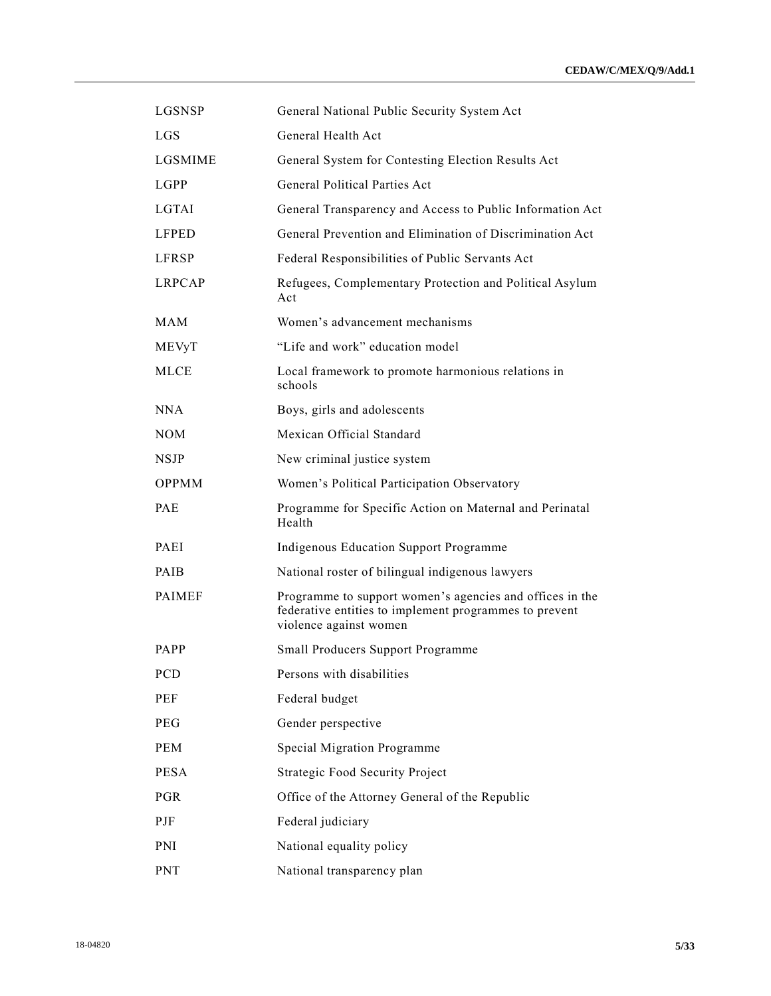| LGSNSP         | General National Public Security System Act                                                                                                  |
|----------------|----------------------------------------------------------------------------------------------------------------------------------------------|
| <b>LGS</b>     | General Health Act                                                                                                                           |
| <b>LGSMIME</b> | General System for Contesting Election Results Act                                                                                           |
| LGPP           | General Political Parties Act                                                                                                                |
| <b>LGTAI</b>   | General Transparency and Access to Public Information Act                                                                                    |
| <b>LFPED</b>   | General Prevention and Elimination of Discrimination Act                                                                                     |
| LFRSP          | Federal Responsibilities of Public Servants Act                                                                                              |
| <b>LRPCAP</b>  | Refugees, Complementary Protection and Political Asylum<br>Act                                                                               |
| MAM            | Women's advancement mechanisms                                                                                                               |
| MEVyT          | "Life and work" education model                                                                                                              |
| <b>MLCE</b>    | Local framework to promote harmonious relations in<br>schools                                                                                |
| NNA            | Boys, girls and adolescents                                                                                                                  |
| <b>NOM</b>     | Mexican Official Standard                                                                                                                    |
| <b>NSJP</b>    | New criminal justice system                                                                                                                  |
| <b>OPPMM</b>   | Women's Political Participation Observatory                                                                                                  |
| PAE            | Programme for Specific Action on Maternal and Perinatal<br>Health                                                                            |
| PAEI           | Indigenous Education Support Programme                                                                                                       |
| PAIB           | National roster of bilingual indigenous lawyers                                                                                              |
| <b>PAIMEF</b>  | Programme to support women's agencies and offices in the<br>federative entities to implement programmes to prevent<br>violence against women |
| <b>PAPP</b>    | Small Producers Support Programme                                                                                                            |
| PCD            | Persons with disabilities                                                                                                                    |
| PEF            | Federal budget                                                                                                                               |
| PEG            | Gender perspective                                                                                                                           |
| <b>PEM</b>     | Special Migration Programme                                                                                                                  |
| <b>PESA</b>    | <b>Strategic Food Security Project</b>                                                                                                       |
| <b>PGR</b>     | Office of the Attorney General of the Republic                                                                                               |
| PJF            | Federal judiciary                                                                                                                            |
| PNI            | National equality policy                                                                                                                     |
| PNT            | National transparency plan                                                                                                                   |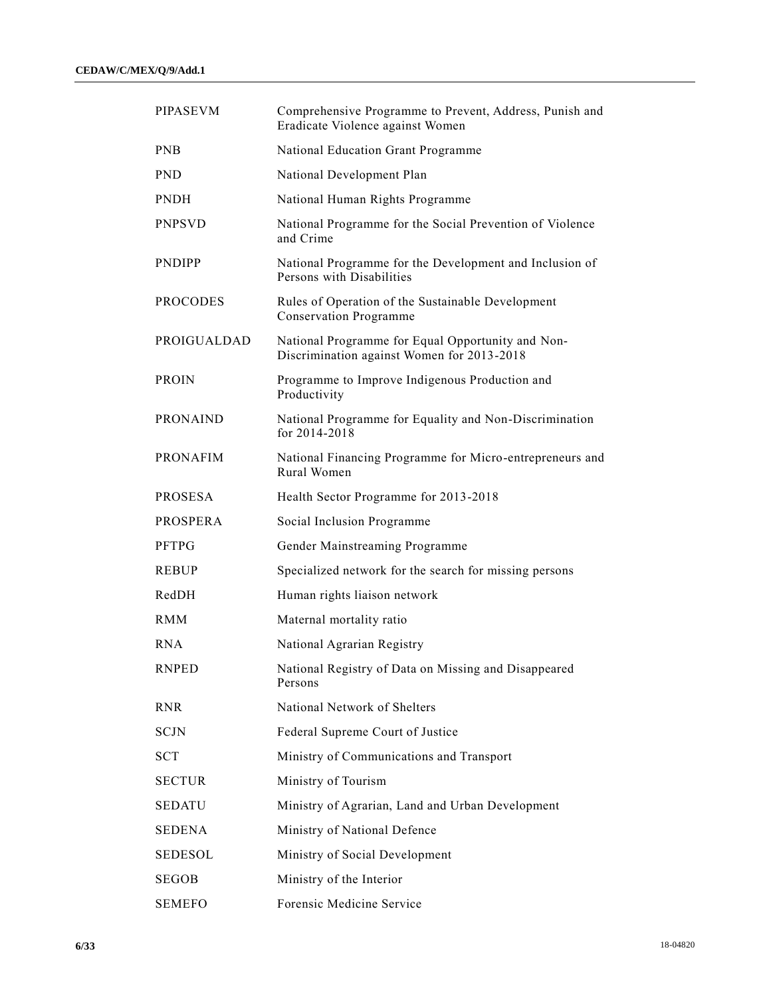| <b>PIPASEVM</b>    | Comprehensive Programme to Prevent, Address, Punish and<br>Eradicate Violence against Women     |
|--------------------|-------------------------------------------------------------------------------------------------|
| <b>PNB</b>         | National Education Grant Programme                                                              |
| <b>PND</b>         | National Development Plan                                                                       |
| <b>PNDH</b>        | National Human Rights Programme                                                                 |
| <b>PNPSVD</b>      | National Programme for the Social Prevention of Violence<br>and Crime                           |
| <b>PNDIPP</b>      | National Programme for the Development and Inclusion of<br>Persons with Disabilities            |
| <b>PROCODES</b>    | Rules of Operation of the Sustainable Development<br><b>Conservation Programme</b>              |
| <b>PROIGUALDAD</b> | National Programme for Equal Opportunity and Non-<br>Discrimination against Women for 2013-2018 |
| <b>PROIN</b>       | Programme to Improve Indigenous Production and<br>Productivity                                  |
| <b>PRONAIND</b>    | National Programme for Equality and Non-Discrimination<br>for $2014 - 2018$                     |
| <b>PRONAFIM</b>    | National Financing Programme for Micro-entrepreneurs and<br>Rural Women                         |
| <b>PROSESA</b>     | Health Sector Programme for 2013-2018                                                           |
| <b>PROSPERA</b>    | Social Inclusion Programme                                                                      |
| <b>PFTPG</b>       | Gender Mainstreaming Programme                                                                  |
| <b>REBUP</b>       | Specialized network for the search for missing persons                                          |
| RedDH              | Human rights liaison network                                                                    |
| <b>RMM</b>         | Maternal mortality ratio                                                                        |
| <b>RNA</b>         | National Agrarian Registry                                                                      |
| <b>RNPED</b>       | National Registry of Data on Missing and Disappeared<br>Persons                                 |
| <b>RNR</b>         | National Network of Shelters                                                                    |
| <b>SCJN</b>        | Federal Supreme Court of Justice                                                                |
| SCT                | Ministry of Communications and Transport                                                        |
| <b>SECTUR</b>      | Ministry of Tourism                                                                             |
| SEDATU             | Ministry of Agrarian, Land and Urban Development                                                |
| SEDENA             | Ministry of National Defence                                                                    |
| SEDESOL            | Ministry of Social Development                                                                  |
| <b>SEGOB</b>       | Ministry of the Interior                                                                        |
| <b>SEMEFO</b>      | Forensic Medicine Service                                                                       |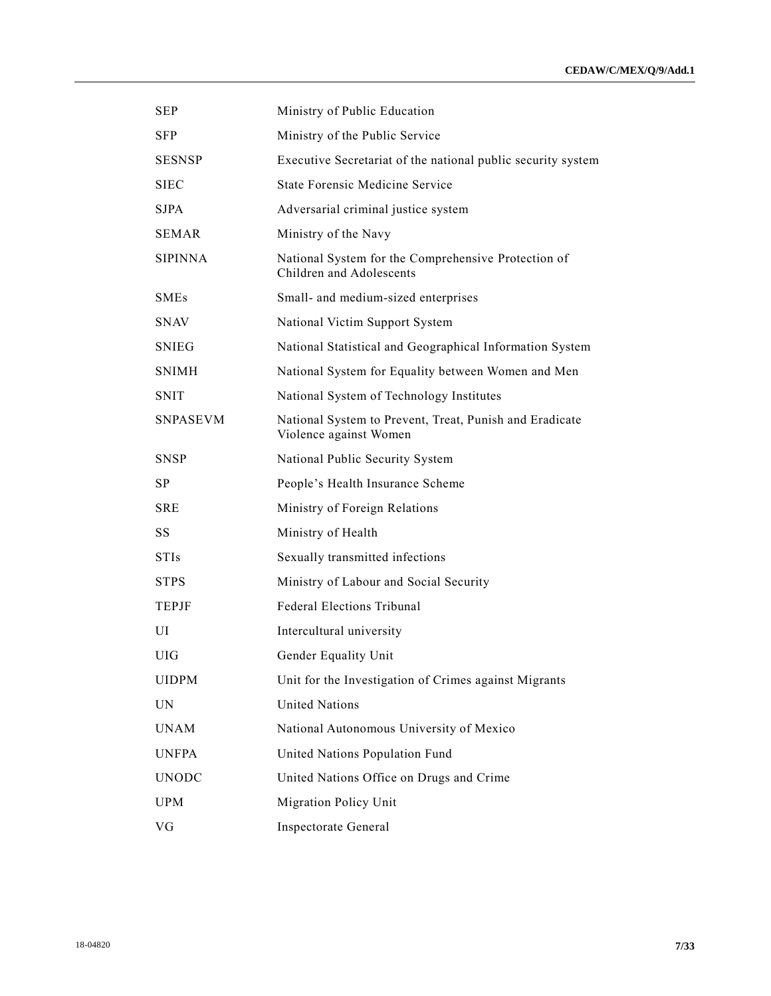| <b>SEP</b>      | Ministry of Public Education                                                      |
|-----------------|-----------------------------------------------------------------------------------|
| <b>SFP</b>      | Ministry of the Public Service                                                    |
| <b>SESNSP</b>   | Executive Secretariat of the national public security system                      |
| <b>SIEC</b>     | <b>State Forensic Medicine Service</b>                                            |
| <b>SJPA</b>     | Adversarial criminal justice system                                               |
| <b>SEMAR</b>    | Ministry of the Navy                                                              |
| <b>SIPINNA</b>  | National System for the Comprehensive Protection of<br>Children and Adolescents   |
| <b>SMEs</b>     | Small- and medium-sized enterprises                                               |
| <b>SNAV</b>     | National Victim Support System                                                    |
| <b>SNIEG</b>    | National Statistical and Geographical Information System                          |
| <b>SNIMH</b>    | National System for Equality between Women and Men                                |
| <b>SNIT</b>     | National System of Technology Institutes                                          |
| <b>SNPASEVM</b> | National System to Prevent, Treat, Punish and Eradicate<br>Violence against Women |
| <b>SNSP</b>     | National Public Security System                                                   |
| SP.             | People's Health Insurance Scheme                                                  |
| <b>SRE</b>      | Ministry of Foreign Relations                                                     |
| SS              | Ministry of Health                                                                |
| <b>STIs</b>     | Sexually transmitted infections                                                   |
| <b>STPS</b>     | Ministry of Labour and Social Security                                            |
| <b>TEPJF</b>    | <b>Federal Elections Tribunal</b>                                                 |
| UI              | Intercultural university                                                          |
| <b>UIG</b>      | Gender Equality Unit                                                              |
| <b>UIDPM</b>    | Unit for the Investigation of Crimes against Migrants                             |
| UN              | <b>United Nations</b>                                                             |
| <b>UNAM</b>     | National Autonomous University of Mexico                                          |
| <b>UNFPA</b>    | United Nations Population Fund                                                    |
| <b>UNODC</b>    | United Nations Office on Drugs and Crime                                          |
| <b>UPM</b>      | Migration Policy Unit                                                             |
| VG              | Inspectorate General                                                              |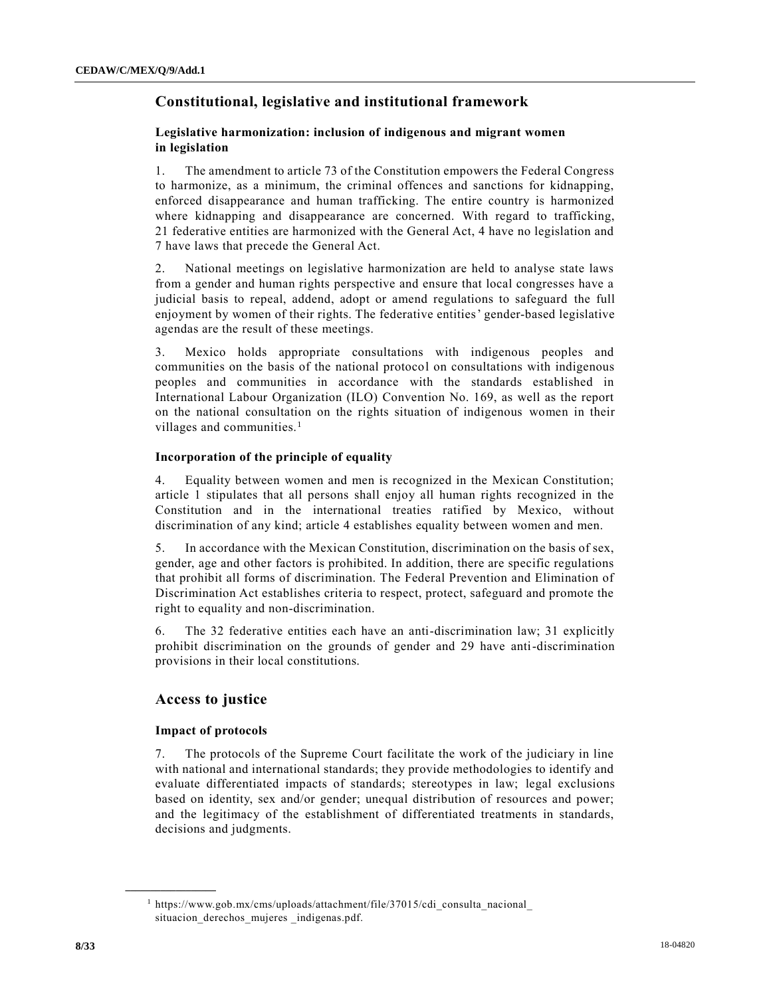## **Constitutional, legislative and institutional framework**

## **Legislative harmonization: inclusion of indigenous and migrant women in legislation**

1. The amendment to article 73 of the Constitution empowers the Federal Congress to harmonize, as a minimum, the criminal offences and sanctions for kidnapping, enforced disappearance and human trafficking. The entire country is harmonized where kidnapping and disappearance are concerned. With regard to trafficking, 21 federative entities are harmonized with the General Act, 4 have no legislation and 7 have laws that precede the General Act.

2. National meetings on legislative harmonization are held to analyse state laws from a gender and human rights perspective and ensure that local congresses have a judicial basis to repeal, addend, adopt or amend regulations to safeguard the full enjoyment by women of their rights. The federative entities' gender-based legislative agendas are the result of these meetings.

3. Mexico holds appropriate consultations with indigenous peoples and communities on the basis of the national protocol on consultations with indigenous peoples and communities in accordance with the standards established in International Labour Organization (ILO) Convention No. 169, as well as the report on the national consultation on the rights situation of indigenous women in their villages and communities. $<sup>1</sup>$ </sup>

## **Incorporation of the principle of equality**

4. Equality between women and men is recognized in the Mexican Constitution; article 1 stipulates that all persons shall enjoy all human rights recognized in the Constitution and in the international treaties ratified by Mexico, without discrimination of any kind; article 4 establishes equality between women and men.

5. In accordance with the Mexican Constitution, discrimination on the basis of sex, gender, age and other factors is prohibited. In addition, there are specific regulations that prohibit all forms of discrimination. The Federal Prevention and Elimination of Discrimination Act establishes criteria to respect, protect, safeguard and promote the right to equality and non-discrimination.

6. The 32 federative entities each have an anti-discrimination law; 31 explicitly prohibit discrimination on the grounds of gender and 29 have anti-discrimination provisions in their local constitutions.

## **Access to justice**

## **Impact of protocols**

**\_\_\_\_\_\_\_\_\_\_\_\_\_\_\_\_\_\_**

7. The protocols of the Supreme Court facilitate the work of the judiciary in line with national and international standards; they provide methodologies to identify and evaluate differentiated impacts of standards; stereotypes in law; legal exclusions based on identity, sex and/or gender; unequal distribution of resources and power; and the legitimacy of the establishment of differentiated treatments in standards, decisions and judgments.

<sup>1</sup> https://www.gob.mx/cms/uploads/attachment/file/37015/cdi\_consulta\_nacional\_ situacion\_derechos\_mujeres \_indigenas.pdf.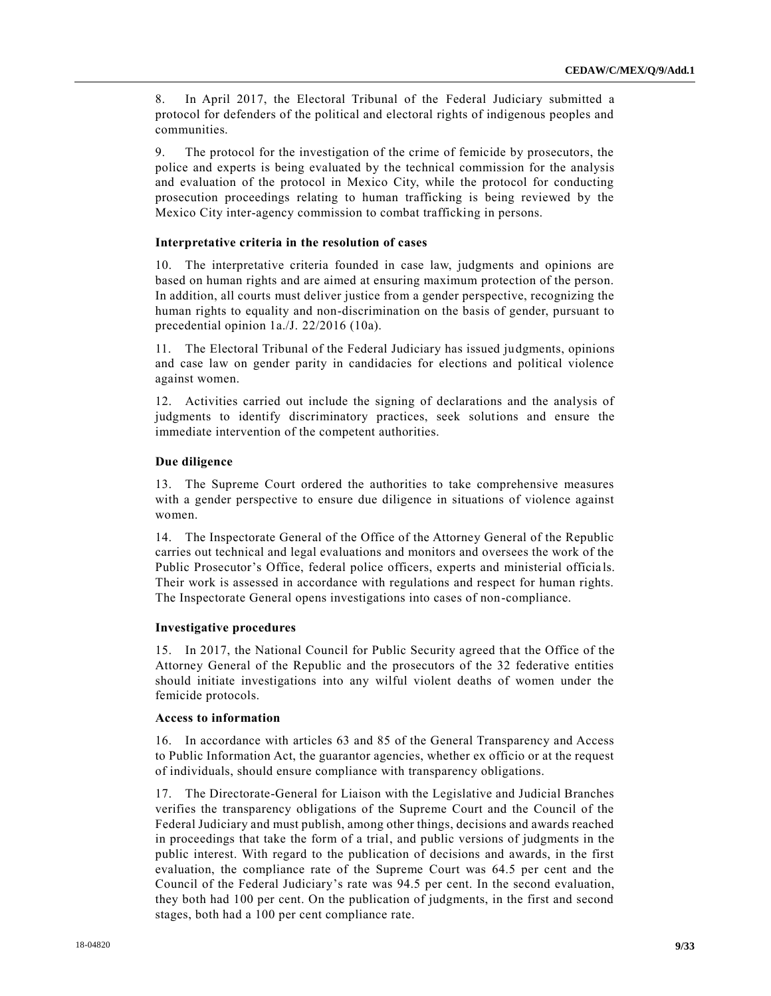8. In April 2017, the Electoral Tribunal of the Federal Judiciary submitted a protocol for defenders of the political and electoral rights of indigenous peoples and communities.

9. The protocol for the investigation of the crime of femicide by prosecutors, the police and experts is being evaluated by the technical commission for the analysis and evaluation of the protocol in Mexico City, while the protocol for conducting prosecution proceedings relating to human trafficking is being reviewed by the Mexico City inter-agency commission to combat trafficking in persons.

#### **Interpretative criteria in the resolution of cases**

10. The interpretative criteria founded in case law, judgments and opinions are based on human rights and are aimed at ensuring maximum protection of the person. In addition, all courts must deliver justice from a gender perspective, recognizing the human rights to equality and non-discrimination on the basis of gender, pursuant to precedential opinion 1a./J. 22/2016 (10a).

11. The Electoral Tribunal of the Federal Judiciary has issued judgments, opinions and case law on gender parity in candidacies for elections and political violence against women.

12. Activities carried out include the signing of declarations and the analysis of judgments to identify discriminatory practices, seek solutions and ensure the immediate intervention of the competent authorities.

## **Due diligence**

13. The Supreme Court ordered the authorities to take comprehensive measures with a gender perspective to ensure due diligence in situations of violence against women.

14. The Inspectorate General of the Office of the Attorney General of the Republic carries out technical and legal evaluations and monitors and oversees the work of the Public Prosecutor's Office, federal police officers, experts and ministerial officials. Their work is assessed in accordance with regulations and respect for human rights. The Inspectorate General opens investigations into cases of non-compliance.

#### **Investigative procedures**

15. In 2017, the National Council for Public Security agreed that the Office of the Attorney General of the Republic and the prosecutors of the 32 federative entities should initiate investigations into any wilful violent deaths of women under the femicide protocols.

#### **Access to information**

16. In accordance with articles 63 and 85 of the General Transparency and Access to Public Information Act, the guarantor agencies, whether ex officio or at the request of individuals, should ensure compliance with transparency obligations.

17. The Directorate-General for Liaison with the Legislative and Judicial Branches verifies the transparency obligations of the Supreme Court and the Council of the Federal Judiciary and must publish, among other things, decisions and awards reached in proceedings that take the form of a trial, and public versions of judgments in the public interest. With regard to the publication of decisions and awards, in the first evaluation, the compliance rate of the Supreme Court was 64.5 per cent and the Council of the Federal Judiciary's rate was 94.5 per cent. In the second evaluation, they both had 100 per cent. On the publication of judgments, in the first and second stages, both had a 100 per cent compliance rate.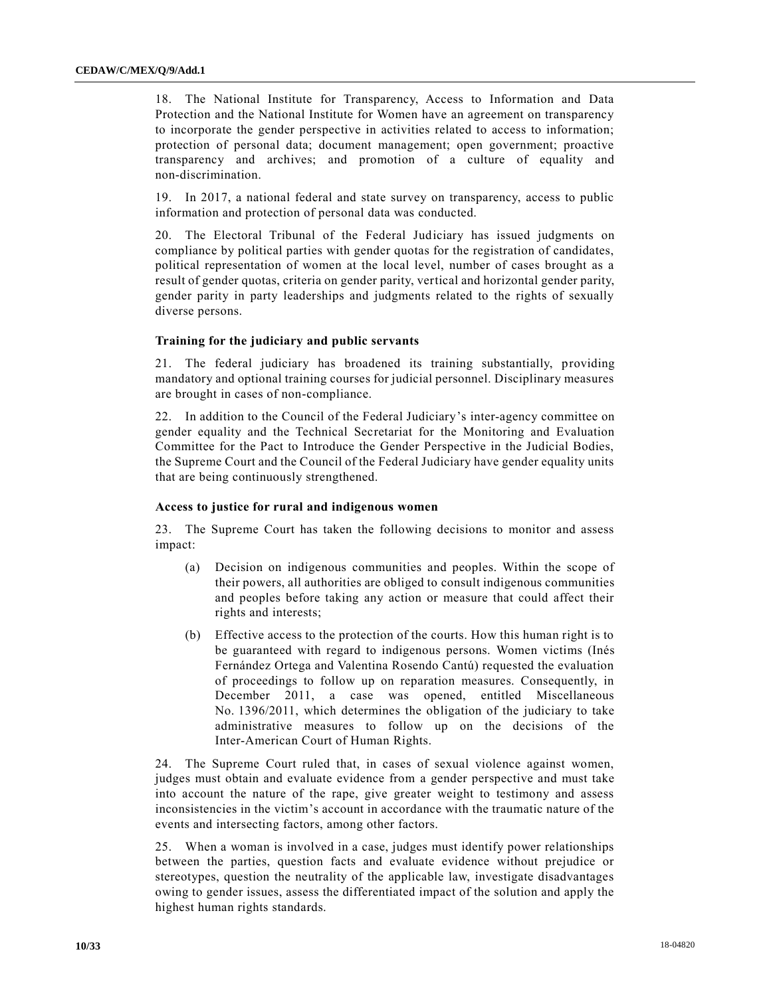18. The National Institute for Transparency, Access to Information and Data Protection and the National Institute for Women have an agreement on transparency to incorporate the gender perspective in activities related to access to information; protection of personal data; document management; open government; proactive transparency and archives; and promotion of a culture of equality and non-discrimination.

19. In 2017, a national federal and state survey on transparency, access to public information and protection of personal data was conducted.

20. The Electoral Tribunal of the Federal Judiciary has issued judgments on compliance by political parties with gender quotas for the registration of candidates, political representation of women at the local level, number of cases brought as a result of gender quotas, criteria on gender parity, vertical and horizontal gender parity, gender parity in party leaderships and judgments related to the rights of sexually diverse persons.

#### **Training for the judiciary and public servants**

21. The federal judiciary has broadened its training substantially, providing mandatory and optional training courses for judicial personnel. Disciplinary measures are brought in cases of non-compliance.

22. In addition to the Council of the Federal Judiciary's inter-agency committee on gender equality and the Technical Secretariat for the Monitoring and Evaluation Committee for the Pact to Introduce the Gender Perspective in the Judicial Bodies, the Supreme Court and the Council of the Federal Judiciary have gender equality units that are being continuously strengthened.

#### **Access to justice for rural and indigenous women**

23. The Supreme Court has taken the following decisions to monitor and assess impact:

- (a) Decision on indigenous communities and peoples. Within the scope of their powers, all authorities are obliged to consult indigenous communities and peoples before taking any action or measure that could affect their rights and interests;
- (b) Effective access to the protection of the courts. How this human right is to be guaranteed with regard to indigenous persons. Women victims (Inés Fernández Ortega and Valentina Rosendo Cantú) requested the evaluation of proceedings to follow up on reparation measures. Consequently, in December 2011, a case was opened, entitled Miscellaneous No. 1396/2011, which determines the obligation of the judiciary to take administrative measures to follow up on the decisions of the Inter-American Court of Human Rights.

24. The Supreme Court ruled that, in cases of sexual violence against women, judges must obtain and evaluate evidence from a gender perspective and must take into account the nature of the rape, give greater weight to testimony and assess inconsistencies in the victim's account in accordance with the traumatic nature of the events and intersecting factors, among other factors.

25. When a woman is involved in a case, judges must identify power relationships between the parties, question facts and evaluate evidence without prejudice or stereotypes, question the neutrality of the applicable law, investigate disadvantages owing to gender issues, assess the differentiated impact of the solution and apply the highest human rights standards.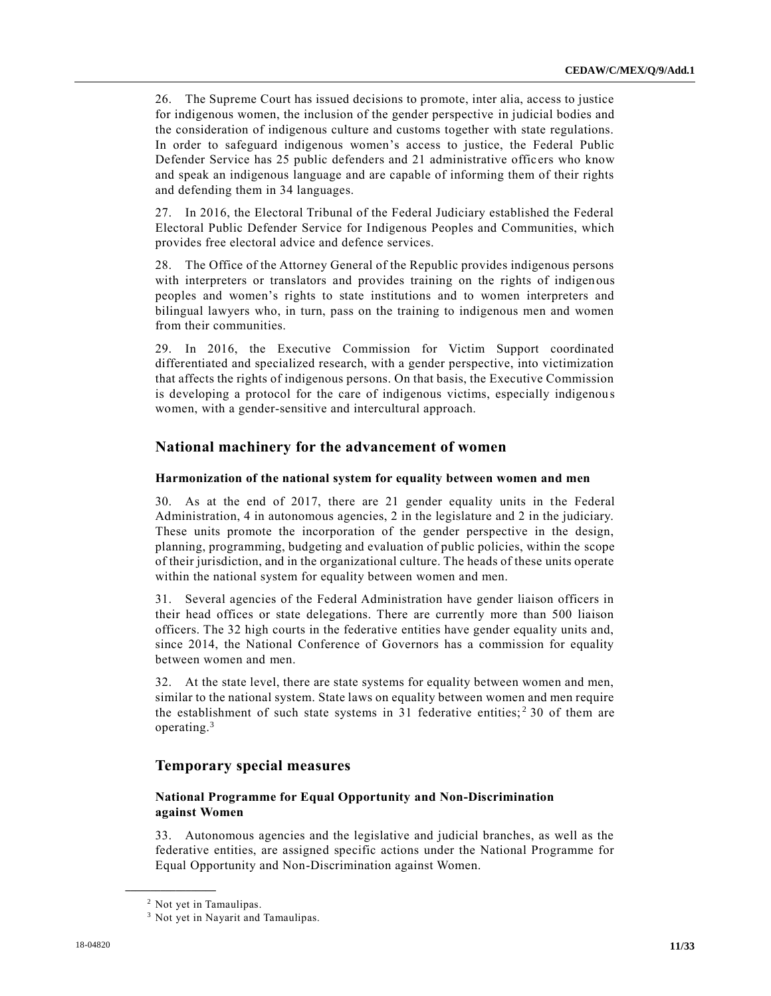26. The Supreme Court has issued decisions to promote, inter alia, access to justice for indigenous women, the inclusion of the gender perspective in judicial bodies and the consideration of indigenous culture and customs together with state regulations. In order to safeguard indigenous women's access to justice, the Federal Public Defender Service has 25 public defenders and 21 administrative offic ers who know and speak an indigenous language and are capable of informing them of their rights and defending them in 34 languages.

27. In 2016, the Electoral Tribunal of the Federal Judiciary established the Federal Electoral Public Defender Service for Indigenous Peoples and Communities, which provides free electoral advice and defence services.

28. The Office of the Attorney General of the Republic provides indigenous persons with interpreters or translators and provides training on the rights of indigenous peoples and women's rights to state institutions and to women interpreters and bilingual lawyers who, in turn, pass on the training to indigenous men and women from their communities.

29. In 2016, the Executive Commission for Victim Support coordinated differentiated and specialized research, with a gender perspective, into victimization that affects the rights of indigenous persons. On that basis, the Executive Commission is developing a protocol for the care of indigenous victims, especially indigenous women, with a gender-sensitive and intercultural approach.

## **National machinery for the advancement of women**

## **Harmonization of the national system for equality between women and men**

30. As at the end of 2017, there are 21 gender equality units in the Federal Administration, 4 in autonomous agencies, 2 in the legislature and 2 in the judiciary. These units promote the incorporation of the gender perspective in the design, planning, programming, budgeting and evaluation of public policies, within the scope of their jurisdiction, and in the organizational culture. The heads of these units operate within the national system for equality between women and men.

31. Several agencies of the Federal Administration have gender liaison officers in their head offices or state delegations. There are currently more than 500 liaison officers. The 32 high courts in the federative entities have gender equality units and, since 2014, the National Conference of Governors has a commission for equality between women and men.

32. At the state level, there are state systems for equality between women and men, similar to the national system. State laws on equality between women and men require the establishment of such state systems in 31 federative entities;<sup>2</sup> 30 of them are operating.<sup>3</sup>

## **Temporary special measures**

## **National Programme for Equal Opportunity and Non-Discrimination against Women**

33. Autonomous agencies and the legislative and judicial branches, as well as the federative entities, are assigned specific actions under the National Programme for Equal Opportunity and Non-Discrimination against Women.

<sup>2</sup> Not yet in Tamaulipas.

<sup>&</sup>lt;sup>3</sup> Not yet in Nayarit and Tamaulipas.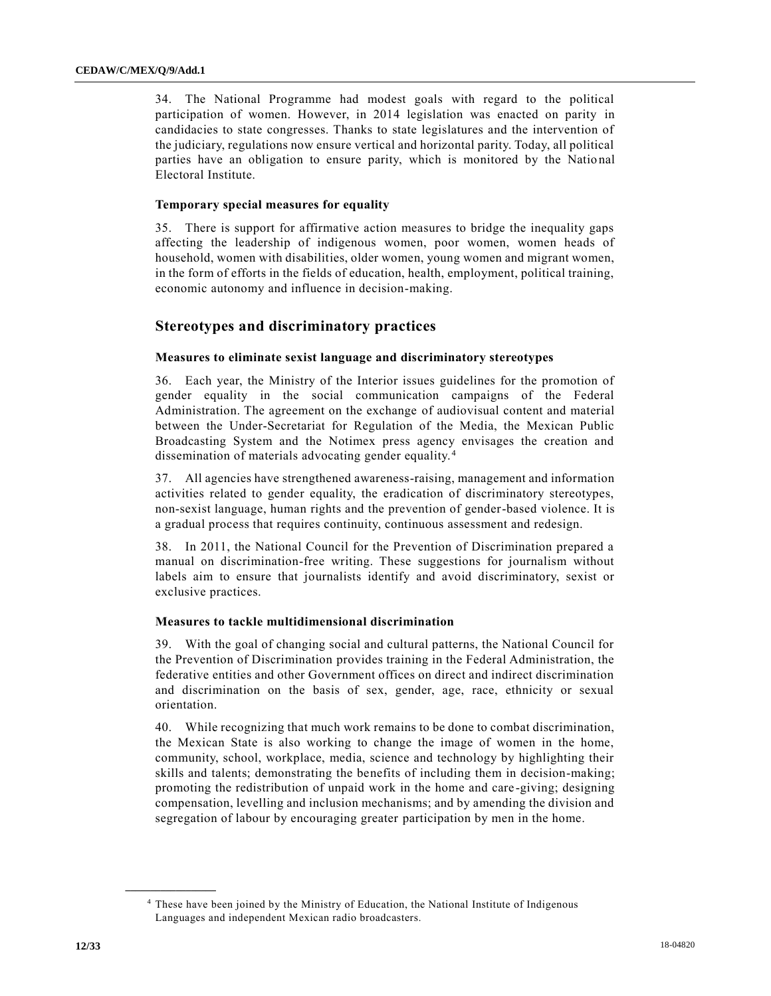34. The National Programme had modest goals with regard to the political participation of women. However, in 2014 legislation was enacted on parity in candidacies to state congresses. Thanks to state legislatures and the intervention of the judiciary, regulations now ensure vertical and horizontal parity. Today, all political parties have an obligation to ensure parity, which is monitored by the Natio nal Electoral Institute.

## **Temporary special measures for equality**

35. There is support for affirmative action measures to bridge the inequality gaps affecting the leadership of indigenous women, poor women, women heads of household, women with disabilities, older women, young women and migrant women, in the form of efforts in the fields of education, health, employment, political training, economic autonomy and influence in decision-making.

## **Stereotypes and discriminatory practices**

## **Measures to eliminate sexist language and discriminatory stereotypes**

36. Each year, the Ministry of the Interior issues guidelines for the promotion of gender equality in the social communication campaigns of the Federal Administration. The agreement on the exchange of audiovisual content and material between the Under-Secretariat for Regulation of the Media, the Mexican Public Broadcasting System and the Notimex press agency envisages the creation and dissemination of materials advocating gender equality. <sup>4</sup>

37. All agencies have strengthened awareness-raising, management and information activities related to gender equality, the eradication of discriminatory stereotypes, non-sexist language, human rights and the prevention of gender-based violence. It is a gradual process that requires continuity, continuous assessment and redesign.

38. In 2011, the National Council for the Prevention of Discrimination prepared a manual on discrimination-free writing. These suggestions for journalism without labels aim to ensure that journalists identify and avoid discriminatory, sexist or exclusive practices.

## **Measures to tackle multidimensional discrimination**

39. With the goal of changing social and cultural patterns, the National Council for the Prevention of Discrimination provides training in the Federal Administration, the federative entities and other Government offices on direct and indirect discrimination and discrimination on the basis of sex, gender, age, race, ethnicity or sexual orientation.

40. While recognizing that much work remains to be done to combat discrimination, the Mexican State is also working to change the image of women in the home, community, school, workplace, media, science and technology by highlighting their skills and talents; demonstrating the benefits of including them in decision-making; promoting the redistribution of unpaid work in the home and care -giving; designing compensation, levelling and inclusion mechanisms; and by amending the division and segregation of labour by encouraging greater participation by men in the home.

<sup>4</sup> These have been joined by the Ministry of Education, the National Institute of Indigenous Languages and independent Mexican radio broadcasters.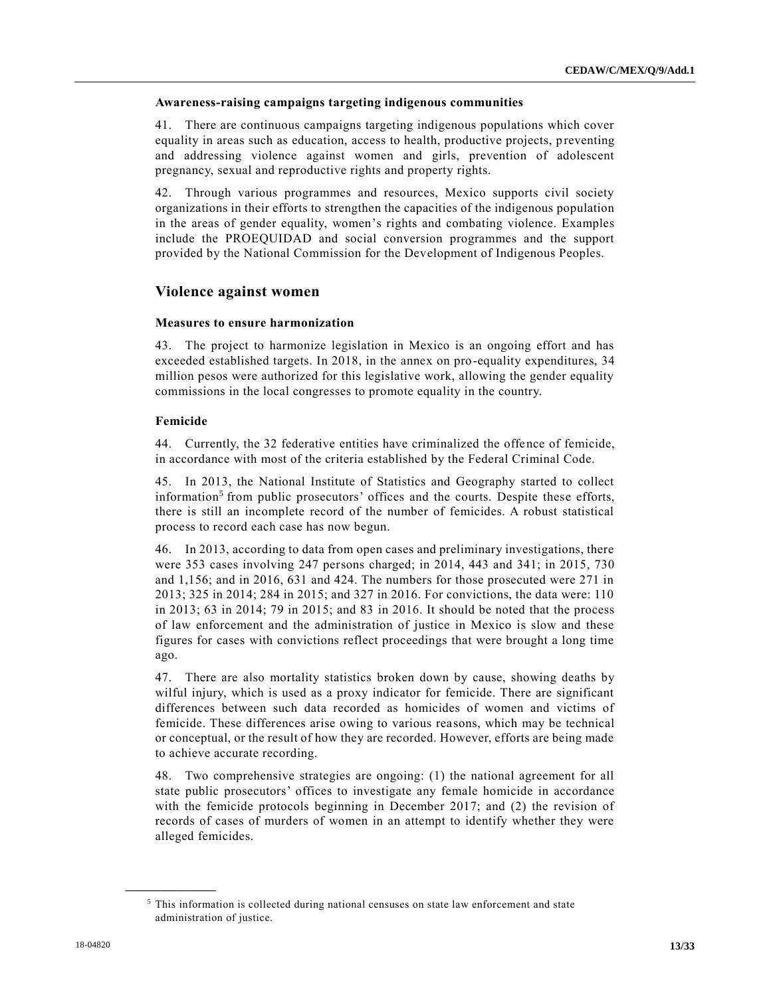## **Awareness-raising campaigns targeting indigenous communities**

41. There are continuous campaigns targeting indigenous populations which cover equality in areas such as education, access to health, productive projects, preventing and addressing violence against women and girls, prevention of adolescent pregnancy, sexual and reproductive rights and property rights.

42. Through various programmes and resources, Mexico supports civil society organizations in their efforts to strengthen the capacities of the indigenous population in the areas of gender equality, women's rights and combating violence. Examples include the PROEQUIDAD and social conversion programmes and the support provided by the National Commission for the Development of Indigenous Peoples.

## **Violence against women**

## **Measures to ensure harmonization**

43. The project to harmonize legislation in Mexico is an ongoing effort and has exceeded established targets. In 2018, in the annex on pro-equality expenditures, 34 million pesos were authorized for this legislative work, allowing the gender equality commissions in the local congresses to promote equality in the country.

## **Femicide**

44. Currently, the 32 federative entities have criminalized the offence of femicide, in accordance with most of the criteria established by the Federal Criminal Code.

45. In 2013, the National Institute of Statistics and Geography started to collect information<sup>5</sup> from public prosecutors' offices and the courts. Despite these efforts, there is still an incomplete record of the number of femicides. A robust statistical process to record each case has now begun.

46. In 2013, according to data from open cases and preliminary investigations, there were 353 cases involving 247 persons charged; in 2014, 443 and 341; in 2015, 730 and 1,156; and in 2016, 631 and 424. The numbers for those prosecuted were 271 in 2013; 325 in 2014; 284 in 2015; and 327 in 2016. For convictions, the data were: 110 in 2013; 63 in 2014; 79 in 2015; and 83 in 2016. It should be noted that the process of law enforcement and the administration of justice in Mexico is slow and these figures for cases with convictions reflect proceedings that were brought a long time ago.

47. There are also mortality statistics broken down by cause, showing deaths by wilful injury, which is used as a proxy indicator for femicide. There are significant differences between such data recorded as homicides of women and victims of femicide. These differences arise owing to various reasons, which may be technical or conceptual, or the result of how they are recorded. However, efforts are being made to achieve accurate recording.

48. Two comprehensive strategies are ongoing: (1) the national agreement for all state public prosecutors' offices to investigate any female homicide in accordance with the femicide protocols beginning in December 2017; and (2) the revision of records of cases of murders of women in an attempt to identify whether they were alleged femicides.

<sup>5</sup> This information is collected during national censuses on state law enforcement and state administration of justice.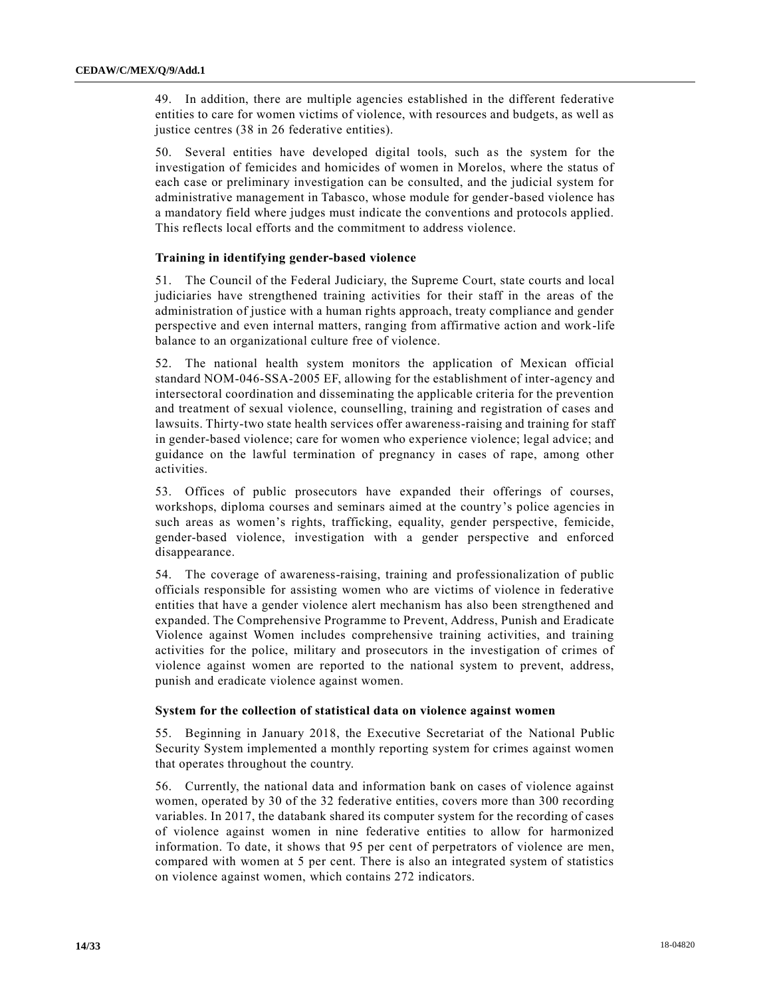49. In addition, there are multiple agencies established in the different federative entities to care for women victims of violence, with resources and budgets, as well as justice centres (38 in 26 federative entities).

50. Several entities have developed digital tools, such as the system for the investigation of femicides and homicides of women in Morelos, where the status of each case or preliminary investigation can be consulted, and the judicial system for administrative management in Tabasco, whose module for gender-based violence has a mandatory field where judges must indicate the conventions and protocols applied. This reflects local efforts and the commitment to address violence.

## **Training in identifying gender-based violence**

51. The Council of the Federal Judiciary, the Supreme Court, state courts and local judiciaries have strengthened training activities for their staff in the areas of the administration of justice with a human rights approach, treaty compliance and gender perspective and even internal matters, ranging from affirmative action and work-life balance to an organizational culture free of violence.

52. The national health system monitors the application of Mexican official standard NOM-046-SSA-2005 EF, allowing for the establishment of inter-agency and intersectoral coordination and disseminating the applicable criteria for the prevention and treatment of sexual violence, counselling, training and registration of cases and lawsuits. Thirty-two state health services offer awareness-raising and training for staff in gender-based violence; care for women who experience violence; legal advice; and guidance on the lawful termination of pregnancy in cases of rape, among other activities.

53. Offices of public prosecutors have expanded their offerings of courses, workshops, diploma courses and seminars aimed at the country's police agencies in such areas as women's rights, trafficking, equality, gender perspective, femicide, gender-based violence, investigation with a gender perspective and enforced disappearance.

54. The coverage of awareness-raising, training and professionalization of public officials responsible for assisting women who are victims of violence in federative entities that have a gender violence alert mechanism has also been strengthened and expanded. The Comprehensive Programme to Prevent, Address, Punish and Eradicate Violence against Women includes comprehensive training activities, and training activities for the police, military and prosecutors in the investigation of crimes of violence against women are reported to the national system to prevent, address, punish and eradicate violence against women.

#### **System for the collection of statistical data on violence against women**

55. Beginning in January 2018, the Executive Secretariat of the National Public Security System implemented a monthly reporting system for crimes against women that operates throughout the country.

56. Currently, the national data and information bank on cases of violence against women, operated by 30 of the 32 federative entities, covers more than 300 recording variables. In 2017, the databank shared its computer system for the recording of cases of violence against women in nine federative entities to allow for harmonized information. To date, it shows that 95 per cent of perpetrators of violence are men, compared with women at 5 per cent. There is also an integrated system of statistics on violence against women, which contains 272 indicators.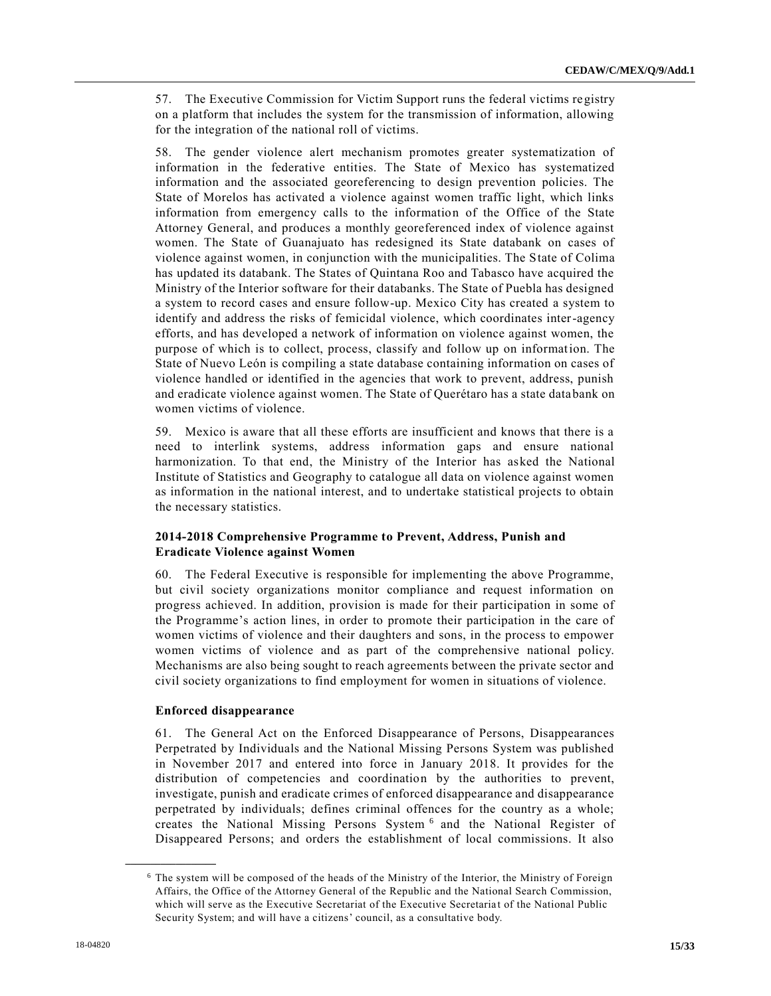57. The Executive Commission for Victim Support runs the federal victims registry on a platform that includes the system for the transmission of information, allowing for the integration of the national roll of victims.

58. The gender violence alert mechanism promotes greater systematization of information in the federative entities. The State of Mexico has systematized information and the associated georeferencing to design prevention policies. The State of Morelos has activated a violence against women traffic light, which links information from emergency calls to the information of the Office of the State Attorney General, and produces a monthly georeferenced index of violence against women. The State of Guanajuato has redesigned its State databank on cases of violence against women, in conjunction with the municipalities. The State of Colima has updated its databank. The States of Quintana Roo and Tabasco have acquired the Ministry of the Interior software for their databanks. The State of Puebla has designed a system to record cases and ensure follow-up. Mexico City has created a system to identify and address the risks of femicidal violence, which coordinates inter-agency efforts, and has developed a network of information on violence against women, the purpose of which is to collect, process, classify and follow up on information. The State of Nuevo León is compiling a state database containing information on cases of violence handled or identified in the agencies that work to prevent, address, punish and eradicate violence against women. The State of Querétaro has a state databank on women victims of violence.

59. Mexico is aware that all these efforts are insufficient and knows that there is a need to interlink systems, address information gaps and ensure national harmonization. To that end, the Ministry of the Interior has asked the National Institute of Statistics and Geography to catalogue all data on violence against women as information in the national interest, and to undertake statistical projects to obtain the necessary statistics.

## **2014-2018 Comprehensive Programme to Prevent, Address, Punish and Eradicate Violence against Women**

60. The Federal Executive is responsible for implementing the above Programme, but civil society organizations monitor compliance and request information on progress achieved. In addition, provision is made for their participation in some of the Programme's action lines, in order to promote their participation in the care of women victims of violence and their daughters and sons, in the process to empower women victims of violence and as part of the comprehensive national policy. Mechanisms are also being sought to reach agreements between the private sector and civil society organizations to find employment for women in situations of violence.

## **Enforced disappearance**

**\_\_\_\_\_\_\_\_\_\_\_\_\_\_\_\_\_\_**

61. The General Act on the Enforced Disappearance of Persons, Disappearances Perpetrated by Individuals and the National Missing Persons System was published in November 2017 and entered into force in January 2018. It provides for the distribution of competencies and coordination by the authorities to prevent, investigate, punish and eradicate crimes of enforced disappearance and disappearance perpetrated by individuals; defines criminal offences for the country as a whole; creates the National Missing Persons System<sup>6</sup> and the National Register of Disappeared Persons; and orders the establishment of local commissions. It also

<sup>6</sup> The system will be composed of the heads of the Ministry of the Interior, the Ministry of Foreign Affairs, the Office of the Attorney General of the Republic and the National Search Commission, which will serve as the Executive Secretariat of the Executive Secretaria t of the National Public Security System; and will have a citizens' council, as a consultative body.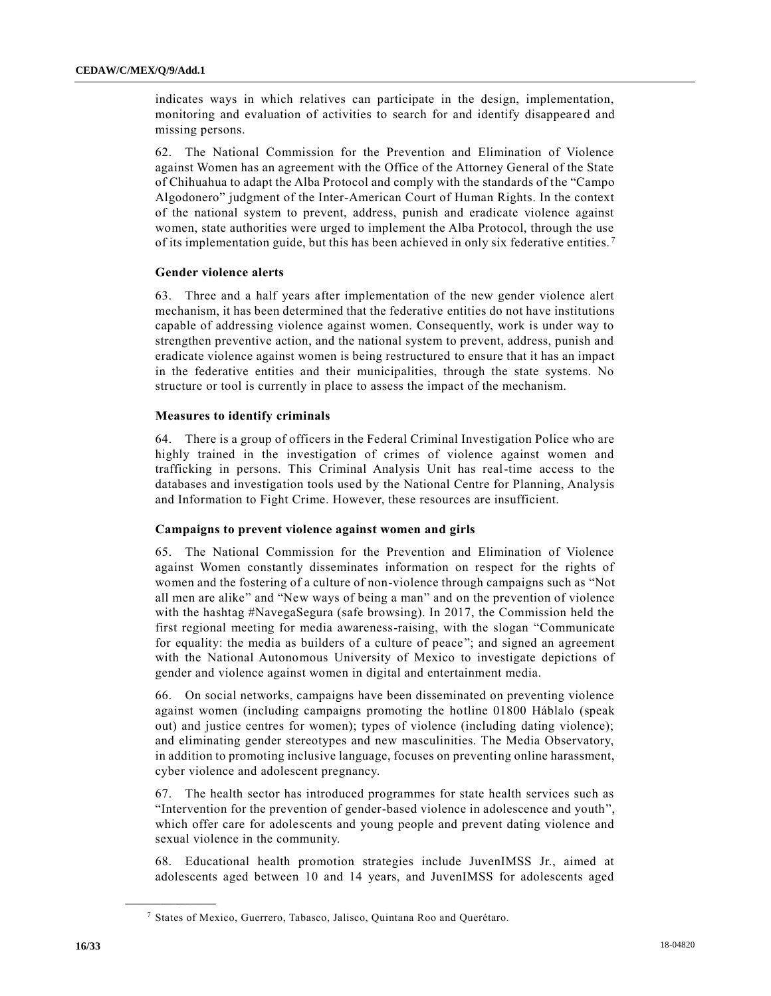indicates ways in which relatives can participate in the design, implementation, monitoring and evaluation of activities to search for and identify disappeared and missing persons.

62. The National Commission for the Prevention and Elimination of Violence against Women has an agreement with the Office of the Attorney General of the State of Chihuahua to adapt the Alba Protocol and comply with the standards of the "Campo Algodonero" judgment of the Inter-American Court of Human Rights. In the context of the national system to prevent, address, punish and eradicate violence against women, state authorities were urged to implement the Alba Protocol, through the use of its implementation guide, but this has been achieved in only six federative entities. <sup>7</sup>

#### **Gender violence alerts**

63. Three and a half years after implementation of the new gender violence alert mechanism, it has been determined that the federative entities do not have institutions capable of addressing violence against women. Consequently, work is under way to strengthen preventive action, and the national system to prevent, address, punish and eradicate violence against women is being restructured to ensure that it has an impact in the federative entities and their municipalities, through the state systems. No structure or tool is currently in place to assess the impact of the mechanism.

#### **Measures to identify criminals**

64. There is a group of officers in the Federal Criminal Investigation Police who are highly trained in the investigation of crimes of violence against women and trafficking in persons. This Criminal Analysis Unit has real-time access to the databases and investigation tools used by the National Centre for Planning, Analysis and Information to Fight Crime. However, these resources are insufficient.

## **Campaigns to prevent violence against women and girls**

65. The National Commission for the Prevention and Elimination of Violence against Women constantly disseminates information on respect for the rights of women and the fostering of a culture of non-violence through campaigns such as "Not all men are alike" and "New ways of being a man" and on the prevention of violence with the hashtag #NavegaSegura (safe browsing). In 2017, the Commission held the first regional meeting for media awareness-raising, with the slogan "Communicate for equality: the media as builders of a culture of peace"; and signed an agreement with the National Autonomous University of Mexico to investigate depictions of gender and violence against women in digital and entertainment media.

66. On social networks, campaigns have been disseminated on preventing violence against women (including campaigns promoting the hotline 01800 Háblalo (speak out) and justice centres for women); types of violence (including dating violence); and eliminating gender stereotypes and new masculinities. The Media Observatory, in addition to promoting inclusive language, focuses on preventing online harassment, cyber violence and adolescent pregnancy.

67. The health sector has introduced programmes for state health services such as "Intervention for the prevention of gender-based violence in adolescence and youth", which offer care for adolescents and young people and prevent dating violence and sexual violence in the community.

68. Educational health promotion strategies include JuvenIMSS Jr., aimed at adolescents aged between 10 and 14 years, and JuvenIMSS for adolescents aged

<sup>7</sup> States of Mexico, Guerrero, Tabasco, Jalisco, Quintana Roo and Querétaro.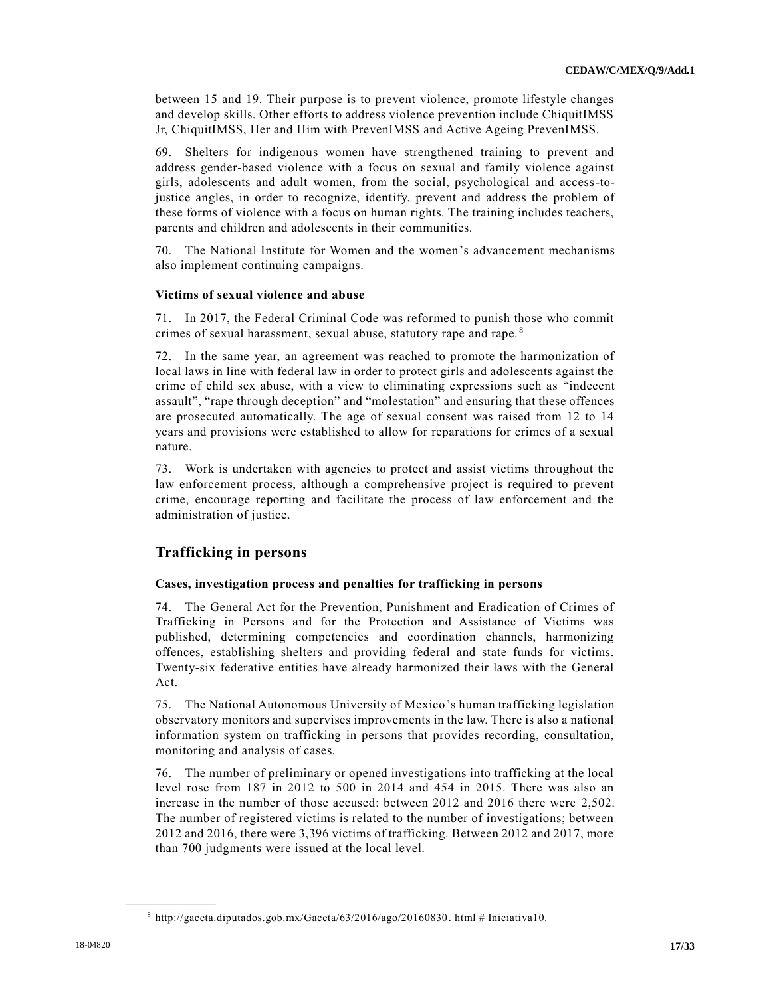between 15 and 19. Their purpose is to prevent violence, promote lifestyle changes and develop skills. Other efforts to address violence prevention include ChiquitIMSS Jr, ChiquitIMSS, Her and Him with PrevenIMSS and Active Ageing PrevenIMSS.

69. Shelters for indigenous women have strengthened training to prevent and address gender-based violence with a focus on sexual and family violence against girls, adolescents and adult women, from the social, psychological and access-tojustice angles, in order to recognize, identify, prevent and address the problem of these forms of violence with a focus on human rights. The training includes teachers, parents and children and adolescents in their communities.

70. The National Institute for Women and the women's advancement mechanisms also implement continuing campaigns.

## **Victims of sexual violence and abuse**

71. In 2017, the Federal Criminal Code was reformed to punish those who commit crimes of sexual harassment, sexual abuse, statutory rape and rape. <sup>8</sup>

72. In the same year, an agreement was reached to promote the harmonization of local laws in line with federal law in order to protect girls and adolescents against the crime of child sex abuse, with a view to eliminating expressions such as "indecent assault", "rape through deception" and "molestation" and ensuring that these offences are prosecuted automatically. The age of sexual consent was raised from 12 to 14 years and provisions were established to allow for reparations for crimes of a sexual nature.

73. Work is undertaken with agencies to protect and assist victims throughout the law enforcement process, although a comprehensive project is required to prevent crime, encourage reporting and facilitate the process of law enforcement and the administration of justice.

## **Trafficking in persons**

## **Cases, investigation process and penalties for trafficking in persons**

74. The General Act for the Prevention, Punishment and Eradication of Crimes of Trafficking in Persons and for the Protection and Assistance of Victims was published, determining competencies and coordination channels, harmonizing offences, establishing shelters and providing federal and state funds for victims. Twenty-six federative entities have already harmonized their laws with the General Act.

75. The National Autonomous University of Mexico's human trafficking legislation observatory monitors and supervises improvements in the law. There is also a national information system on trafficking in persons that provides recording, consultation, monitoring and analysis of cases.

76. The number of preliminary or opened investigations into trafficking at the local level rose from 187 in 2012 to 500 in 2014 and 454 in 2015. There was also an increase in the number of those accused: between 2012 and 2016 there were 2,502. The number of registered victims is related to the number of investigations; between 2012 and 2016, there were 3,396 victims of trafficking. Between 2012 and 2017, more than 700 judgments were issued at the local level.

<sup>8</sup> http://gaceta.diputados.gob.mx/Gaceta/63/2016/ago/20160830. html # Iniciativa10.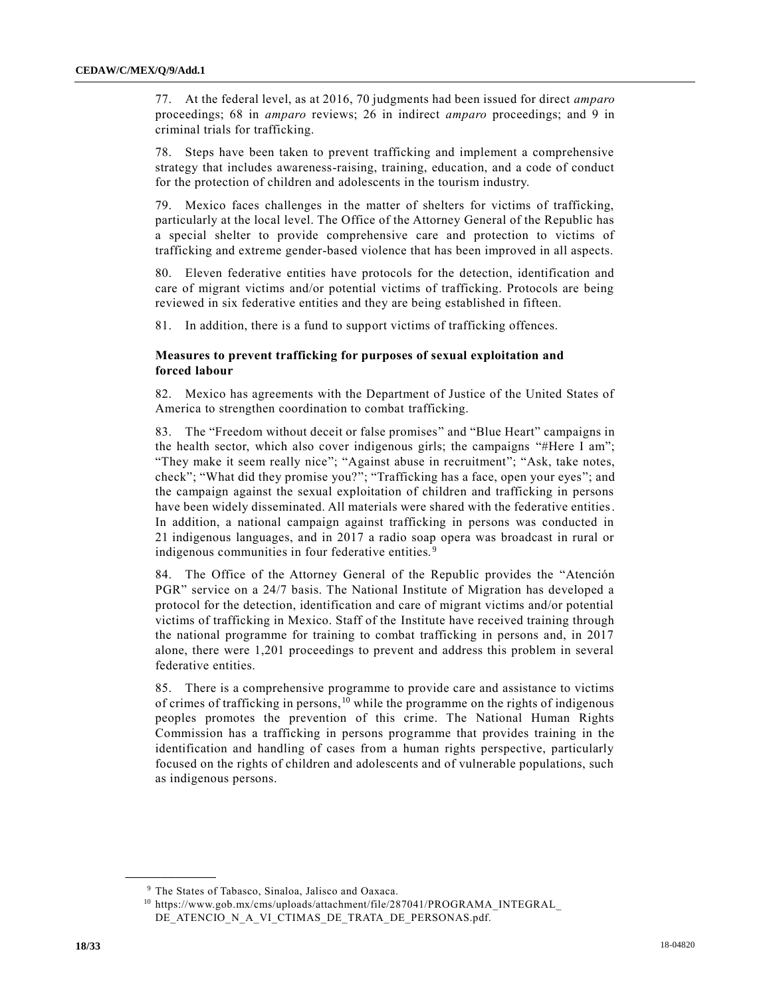77. At the federal level, as at 2016, 70 judgments had been issued for direct *amparo* proceedings; 68 in *amparo* reviews; 26 in indirect *amparo* proceedings; and 9 in criminal trials for trafficking.

78. Steps have been taken to prevent trafficking and implement a comprehensive strategy that includes awareness-raising, training, education, and a code of conduct for the protection of children and adolescents in the tourism industry.

79. Mexico faces challenges in the matter of shelters for victims of trafficking, particularly at the local level. The Office of the Attorney General of the Republic has a special shelter to provide comprehensive care and protection to victims of trafficking and extreme gender-based violence that has been improved in all aspects.

80. Eleven federative entities have protocols for the detection, identification and care of migrant victims and/or potential victims of trafficking. Protocols are being reviewed in six federative entities and they are being established in fifteen.

81. In addition, there is a fund to support victims of trafficking offences.

## **Measures to prevent trafficking for purposes of sexual exploitation and forced labour**

82. Mexico has agreements with the Department of Justice of the United States of America to strengthen coordination to combat trafficking.

83. The "Freedom without deceit or false promises" and "Blue Heart" campaigns in the health sector, which also cover indigenous girls; the campaigns "#Here I am"; "They make it seem really nice"; "Against abuse in recruitment"; "Ask, take notes, check"; "What did they promise you?"; "Trafficking has a face, open your eyes"; and the campaign against the sexual exploitation of children and trafficking in persons have been widely disseminated. All materials were shared with the federative entities. In addition, a national campaign against trafficking in persons was conducted in 21 indigenous languages, and in 2017 a radio soap opera was broadcast in rural or indigenous communities in four federative entities.<sup>9</sup>

84. The Office of the Attorney General of the Republic provides the "Atención PGR" service on a 24/7 basis. The National Institute of Migration has developed a protocol for the detection, identification and care of migrant victims and/or potential victims of trafficking in Mexico. Staff of the Institute have received training through the national programme for training to combat trafficking in persons and, in 2017 alone, there were 1,201 proceedings to prevent and address this problem in several federative entities.

85. There is a comprehensive programme to provide care and assistance to victims of crimes of trafficking in persons, <sup>10</sup> while the programme on the rights of indigenous peoples promotes the prevention of this crime. The National Human Rights Commission has a trafficking in persons programme that provides training in the identification and handling of cases from a human rights perspective, particularly focused on the rights of children and adolescents and of vulnerable populations, such as indigenous persons.

<sup>9</sup> The States of Tabasco, Sinaloa, Jalisco and Oaxaca.

<sup>10</sup> https://www.gob.mx/cms/uploads/attachment/file/287041/PROGRAMA\_INTEGRAL\_ DE\_ATENCIO\_N\_A\_VI\_CTIMAS\_DE\_TRATA\_DE\_PERSONAS.pdf.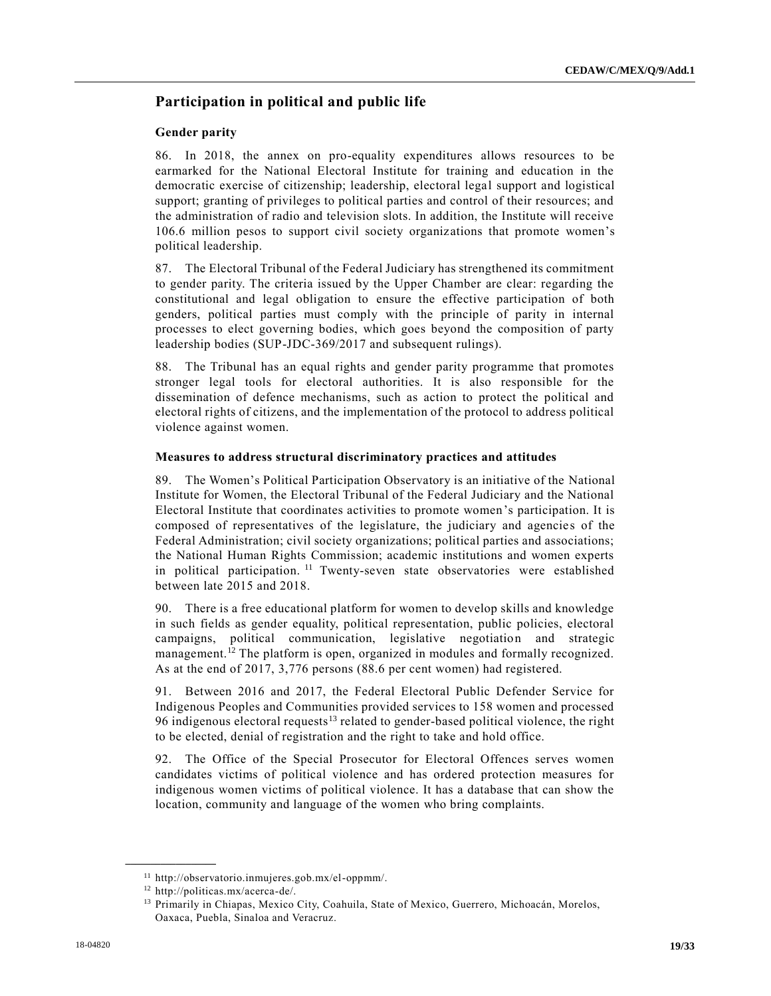## **Participation in political and public life**

#### **Gender parity**

86. In 2018, the annex on pro-equality expenditures allows resources to be earmarked for the National Electoral Institute for training and education in the democratic exercise of citizenship; leadership, electoral legal support and logistical support; granting of privileges to political parties and control of their resources; and the administration of radio and television slots. In addition, the Institute will receive 106.6 million pesos to support civil society organizations that promote women's political leadership.

87. The Electoral Tribunal of the Federal Judiciary has strengthened its commitment to gender parity. The criteria issued by the Upper Chamber are clear: regarding the constitutional and legal obligation to ensure the effective participation of both genders, political parties must comply with the principle of parity in internal processes to elect governing bodies, which goes beyond the composition of party leadership bodies (SUP-JDC-369/2017 and subsequent rulings).

88. The Tribunal has an equal rights and gender parity programme that promotes stronger legal tools for electoral authorities. It is also responsible for the dissemination of defence mechanisms, such as action to protect the political and electoral rights of citizens, and the implementation of the protocol to address political violence against women.

#### **Measures to address structural discriminatory practices and attitudes**

89. The Women's Political Participation Observatory is an initiative of the National Institute for Women, the Electoral Tribunal of the Federal Judiciary and the National Electoral Institute that coordinates activities to promote women's participation. It is composed of representatives of the legislature, the judiciary and agencie s of the Federal Administration; civil society organizations; political parties and associations; the National Human Rights Commission; academic institutions and women experts in political participation.<sup>11</sup> Twenty-seven state observatories were established between late 2015 and 2018.

90. There is a free educational platform for women to develop skills and knowledge in such fields as gender equality, political representation, public policies, electoral campaigns, political communication, legislative negotiation and strategic management.<sup>12</sup> The platform is open, organized in modules and formally recognized. As at the end of 2017, 3,776 persons (88.6 per cent women) had registered.

91. Between 2016 and 2017, the Federal Electoral Public Defender Service for Indigenous Peoples and Communities provided services to 158 women and processed 96 indigenous electoral requests<sup>13</sup> related to gender-based political violence, the right to be elected, denial of registration and the right to take and hold office.

92. The Office of the Special Prosecutor for Electoral Offences serves women candidates victims of political violence and has ordered protection measures for indigenous women victims of political violence. It has a database that can show the location, community and language of the women who bring complaints.

<sup>11</sup> http://observatorio.inmujeres.gob.mx/el-oppmm/.

<sup>12</sup> http://politicas.mx/acerca-de/.

<sup>&</sup>lt;sup>13</sup> Primarily in Chiapas, Mexico City, Coahuila, State of Mexico, Guerrero, Michoacán, Morelos, Oaxaca, Puebla, Sinaloa and Veracruz.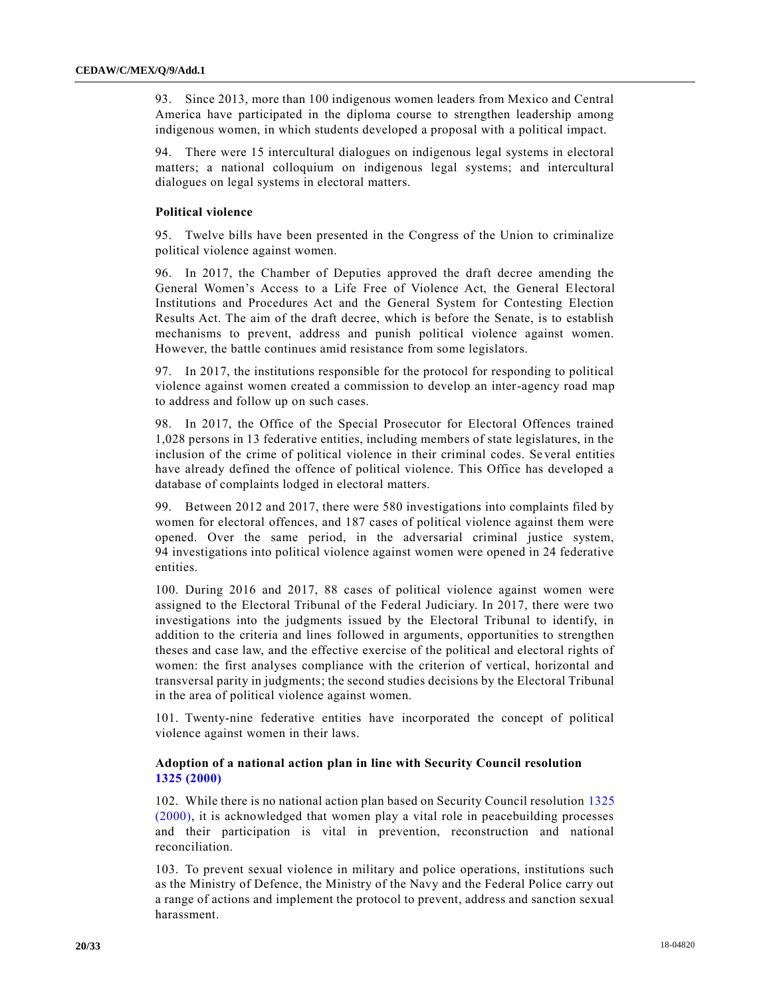93. Since 2013, more than 100 indigenous women leaders from Mexico and Central America have participated in the diploma course to strengthen leadership among indigenous women, in which students developed a proposal with a political impact.

94. There were 15 intercultural dialogues on indigenous legal systems in electoral matters; a national colloquium on indigenous legal systems; and intercultural dialogues on legal systems in electoral matters.

#### **Political violence**

95. Twelve bills have been presented in the Congress of the Union to criminalize political violence against women.

96. In 2017, the Chamber of Deputies approved the draft decree amending the General Women's Access to a Life Free of Violence Act, the General Electoral Institutions and Procedures Act and the General System for Contesting Election Results Act. The aim of the draft decree, which is before the Senate, is to establish mechanisms to prevent, address and punish political violence against women. However, the battle continues amid resistance from some legislators.

97. In 2017, the institutions responsible for the protocol for responding to political violence against women created a commission to develop an inter-agency road map to address and follow up on such cases.

98. In 2017, the Office of the Special Prosecutor for Electoral Offences trained 1,028 persons in 13 federative entities, including members of state legislatures, in the inclusion of the crime of political violence in their criminal codes. Se veral entities have already defined the offence of political violence. This Office has developed a database of complaints lodged in electoral matters.

99. Between 2012 and 2017, there were 580 investigations into complaints filed by women for electoral offences, and 187 cases of political violence against them were opened. Over the same period, in the adversarial criminal justice system, 94 investigations into political violence against women were opened in 24 federative entities.

100. During 2016 and 2017, 88 cases of political violence against women were assigned to the Electoral Tribunal of the Federal Judiciary. In 2017, there were two investigations into the judgments issued by the Electoral Tribunal to identify, in addition to the criteria and lines followed in arguments, opportunities to strengthen theses and case law, and the effective exercise of the political and electoral rights of women: the first analyses compliance with the criterion of vertical, horizontal and transversal parity in judgments; the second studies decisions by the Electoral Tribunal in the area of political violence against women.

101. Twenty-nine federative entities have incorporated the concept of political violence against women in their laws.

## **Adoption of a national action plan in line with Security Council resolution 1325 [\(2000\)](https://undocs.org/S/RES/1325(2000))**

102. While there is no national action plan based on Security Council resolution [1325](https://undocs.org/S/RES/1325(2000))  [\(2000\),](https://undocs.org/S/RES/1325(2000)) it is acknowledged that women play a vital role in peacebuilding processes and their participation is vital in prevention, reconstruction and national reconciliation.

103. To prevent sexual violence in military and police operations, institutions such as the Ministry of Defence, the Ministry of the Navy and the Federal Police carry out a range of actions and implement the protocol to prevent, address and sanction sexual harassment.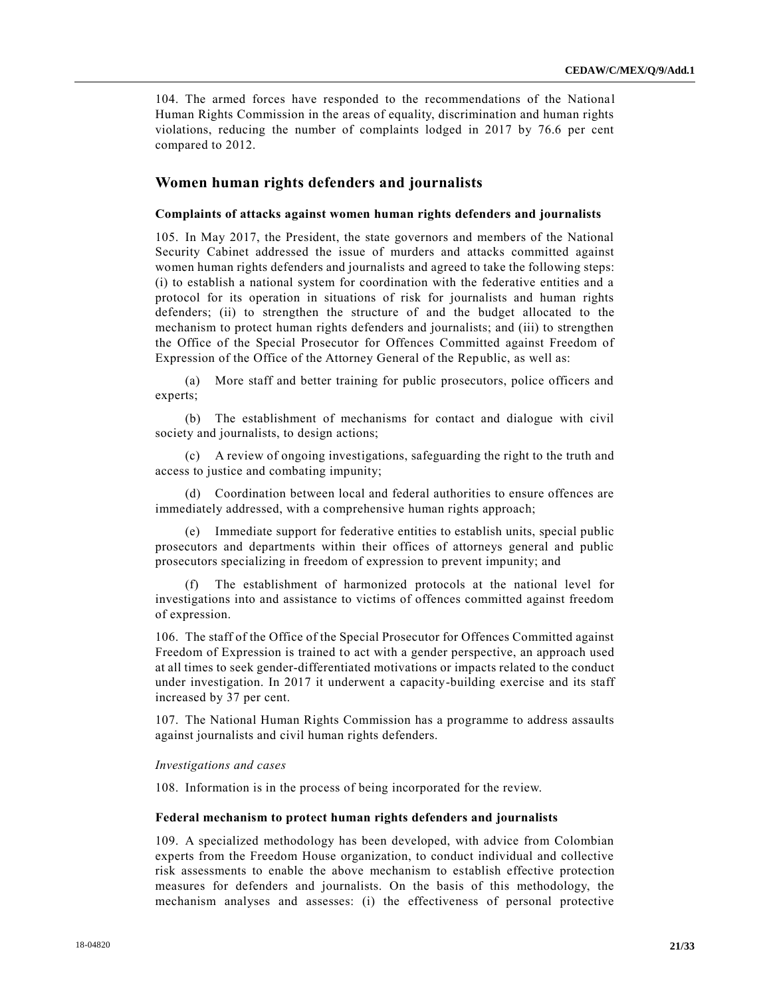104. The armed forces have responded to the recommendations of the Nationa l Human Rights Commission in the areas of equality, discrimination and human rights violations, reducing the number of complaints lodged in 2017 by 76.6 per cent compared to 2012.

## **Women human rights defenders and journalists**

#### **Complaints of attacks against women human rights defenders and journalists**

105. In May 2017, the President, the state governors and members of the National Security Cabinet addressed the issue of murders and attacks committed against women human rights defenders and journalists and agreed to take the following steps: (i) to establish a national system for coordination with the federative entities and a protocol for its operation in situations of risk for journalists and human rights defenders; (ii) to strengthen the structure of and the budget allocated to the mechanism to protect human rights defenders and journalists; and (iii) to strengthen the Office of the Special Prosecutor for Offences Committed against Freedom of Expression of the Office of the Attorney General of the Republic, as well as:

(a) More staff and better training for public prosecutors, police officers and experts;

(b) The establishment of mechanisms for contact and dialogue with civil society and journalists, to design actions;

(c) A review of ongoing investigations, safeguarding the right to the truth and access to justice and combating impunity;

(d) Coordination between local and federal authorities to ensure offences are immediately addressed, with a comprehensive human rights approach;

(e) Immediate support for federative entities to establish units, special public prosecutors and departments within their offices of attorneys general and public prosecutors specializing in freedom of expression to prevent impunity; and

(f) The establishment of harmonized protocols at the national level for investigations into and assistance to victims of offences committed against freedom of expression.

106. The staff of the Office of the Special Prosecutor for Offences Committed against Freedom of Expression is trained to act with a gender perspective, an approach used at all times to seek gender-differentiated motivations or impacts related to the conduct under investigation. In 2017 it underwent a capacity-building exercise and its staff increased by 37 per cent.

107. The National Human Rights Commission has a programme to address assaults against journalists and civil human rights defenders.

## *Investigations and cases*

108. Information is in the process of being incorporated for the review.

#### **Federal mechanism to protect human rights defenders and journalists**

109. A specialized methodology has been developed, with advice from Colombian experts from the Freedom House organization, to conduct individual and collective risk assessments to enable the above mechanism to establish effective protection measures for defenders and journalists. On the basis of this methodology, the mechanism analyses and assesses: (i) the effectiveness of personal protective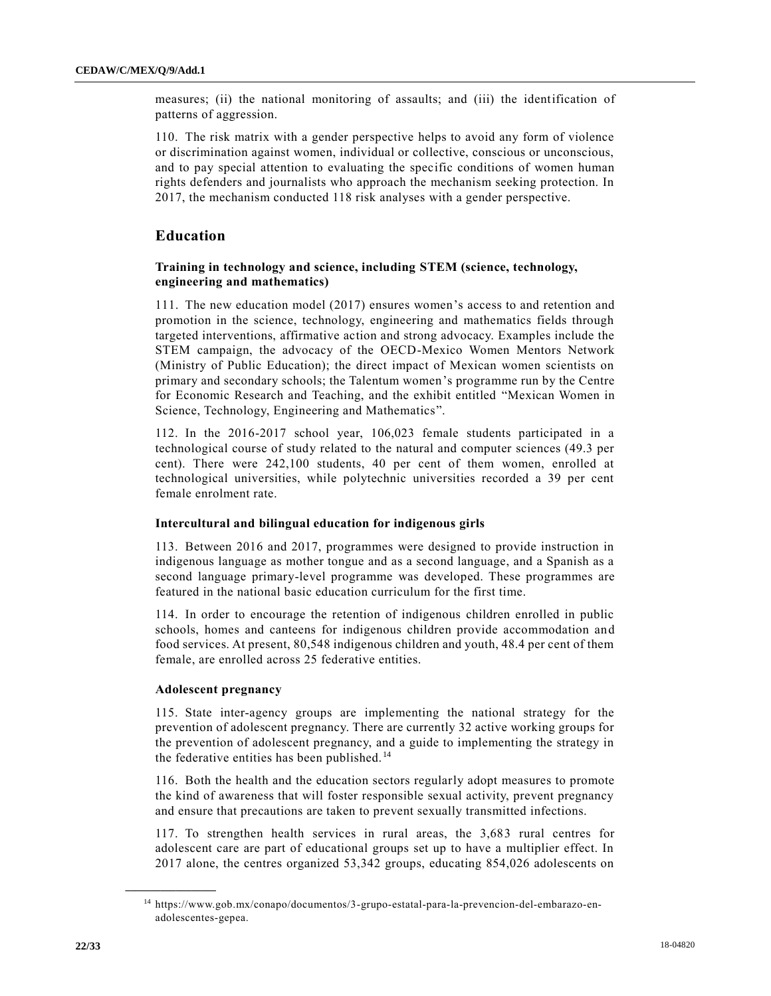measures; (ii) the national monitoring of assaults; and (iii) the identification of patterns of aggression.

110. The risk matrix with a gender perspective helps to avoid any form of violence or discrimination against women, individual or collective, conscious or unconscious, and to pay special attention to evaluating the specific conditions of women human rights defenders and journalists who approach the mechanism seeking protection. In 2017, the mechanism conducted 118 risk analyses with a gender perspective.

## **Education**

## **Training in technology and science, including STEM (science, technology, engineering and mathematics)**

111. The new education model (2017) ensures women's access to and retention and promotion in the science, technology, engineering and mathematics fields through targeted interventions, affirmative action and strong advocacy. Examples include the STEM campaign, the advocacy of the OECD-Mexico Women Mentors Network (Ministry of Public Education); the direct impact of Mexican women scientists on primary and secondary schools; the Talentum women's programme run by the Centre for Economic Research and Teaching, and the exhibit entitled "Mexican Women in Science, Technology, Engineering and Mathematics".

112. In the 2016-2017 school year, 106,023 female students participated in a technological course of study related to the natural and computer sciences (49.3 per cent). There were 242,100 students, 40 per cent of them women, enrolled at technological universities, while polytechnic universities recorded a 39 per cent female enrolment rate.

## **Intercultural and bilingual education for indigenous girls**

113. Between 2016 and 2017, programmes were designed to provide instruction in indigenous language as mother tongue and as a second language, and a Spanish as a second language primary-level programme was developed. These programmes are featured in the national basic education curriculum for the first time.

114. In order to encourage the retention of indigenous children enrolled in public schools, homes and canteens for indigenous children provide accommodation and food services. At present, 80,548 indigenous children and youth, 48.4 per cent of them female, are enrolled across 25 federative entities.

#### **Adolescent pregnancy**

**\_\_\_\_\_\_\_\_\_\_\_\_\_\_\_\_\_\_**

115. State inter-agency groups are implementing the national strategy for the prevention of adolescent pregnancy. There are currently 32 active working groups for the prevention of adolescent pregnancy, and a guide to implementing the strategy in the federative entities has been published. <sup>14</sup>

116. Both the health and the education sectors regularly adopt measures to promote the kind of awareness that will foster responsible sexual activity, prevent pregnancy and ensure that precautions are taken to prevent sexually transmitted infections.

117. To strengthen health services in rural areas, the 3,683 rural centres for adolescent care are part of educational groups set up to have a multiplier effect. In 2017 alone, the centres organized 53,342 groups, educating 854,026 adolescents on

<sup>14</sup> https://www.gob.mx/conapo/documentos/3-grupo-estatal-para-la-prevencion-del-embarazo-enadolescentes-gepea.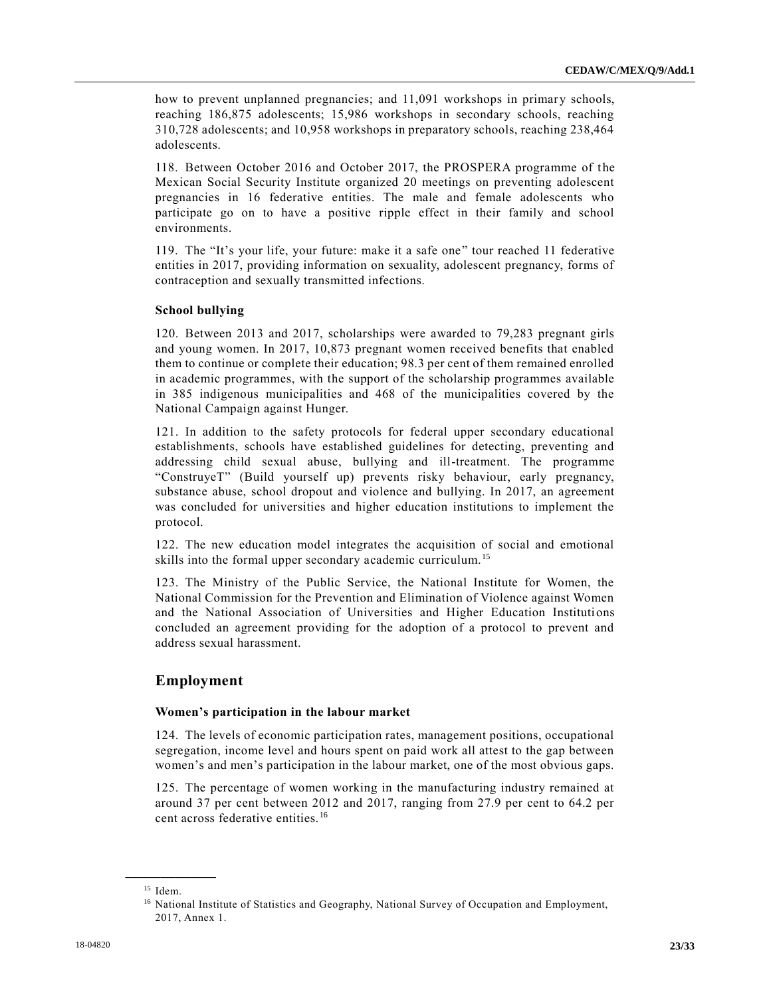how to prevent unplanned pregnancies; and 11,091 workshops in primary schools, reaching 186,875 adolescents; 15,986 workshops in secondary schools, reaching 310,728 adolescents; and 10,958 workshops in preparatory schools, reaching 238,464 adolescents.

118. Between October 2016 and October 2017, the PROSPERA programme of the Mexican Social Security Institute organized 20 meetings on preventing adolescent pregnancies in 16 federative entities. The male and female adolescents who participate go on to have a positive ripple effect in their family and school environments.

119. The "It's your life, your future: make it a safe one" tour reached 11 federative entities in 2017, providing information on sexuality, adolescent pregnancy, forms of contraception and sexually transmitted infections.

## **School bullying**

120. Between 2013 and 2017, scholarships were awarded to 79,283 pregnant girls and young women. In 2017, 10,873 pregnant women received benefits that enabled them to continue or complete their education; 98.3 per cent of them remained enrolled in academic programmes, with the support of the scholarship programmes available in 385 indigenous municipalities and 468 of the municipalities covered by the National Campaign against Hunger.

121. In addition to the safety protocols for federal upper secondary educational establishments, schools have established guidelines for detecting, preventing and addressing child sexual abuse, bullying and ill-treatment. The programme "ConstruyeT" (Build yourself up) prevents risky behaviour, early pregnancy, substance abuse, school dropout and violence and bullying. In 2017, an agreement was concluded for universities and higher education institutions to implement the protocol.

122. The new education model integrates the acquisition of social and emotional skills into the formal upper secondary academic curriculum.<sup>15</sup>

123. The Ministry of the Public Service, the National Institute for Women, the National Commission for the Prevention and Elimination of Violence against Women and the National Association of Universities and Higher Education Institutions concluded an agreement providing for the adoption of a protocol to prevent and address sexual harassment.

## **Employment**

#### **Women's participation in the labour market**

124. The levels of economic participation rates, management positions, occupational segregation, income level and hours spent on paid work all attest to the gap between women's and men's participation in the labour market, one of the most obvious gaps.

125. The percentage of women working in the manufacturing industry remained at around 37 per cent between 2012 and 2017, ranging from 27.9 per cent to 64.2 per cent across federative entities.<sup>16</sup>

<sup>15</sup> Idem.

<sup>&</sup>lt;sup>16</sup> National Institute of Statistics and Geography, National Survey of Occupation and Employment, 2017, Annex 1.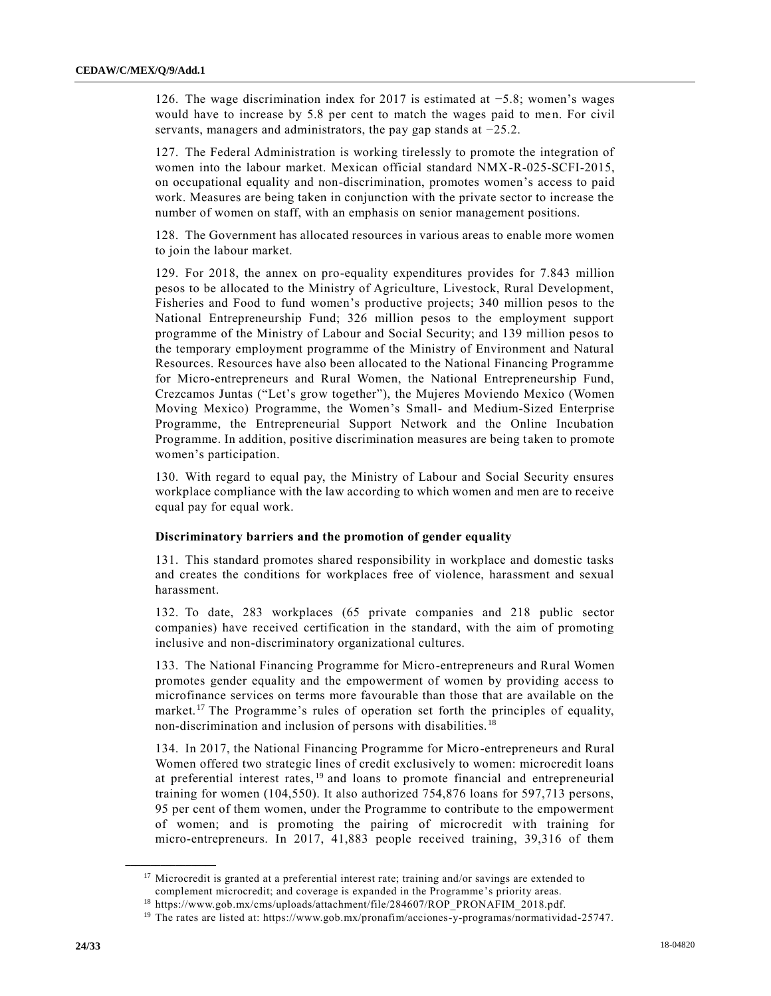126. The wage discrimination index for 2017 is estimated at −5.8; women's wages would have to increase by 5.8 per cent to match the wages paid to men. For civil servants, managers and administrators, the pay gap stands at −25.2.

127. The Federal Administration is working tirelessly to promote the integration of women into the labour market. Mexican official standard NMX-R-025-SCFI-2015, on occupational equality and non-discrimination, promotes women's access to paid work. Measures are being taken in conjunction with the private sector to increase the number of women on staff, with an emphasis on senior management positions.

128. The Government has allocated resources in various areas to enable more women to join the labour market.

129. For 2018, the annex on pro-equality expenditures provides for 7.843 million pesos to be allocated to the Ministry of Agriculture, Livestock, Rural Development, Fisheries and Food to fund women's productive projects; 340 million pesos to the National Entrepreneurship Fund; 326 million pesos to the employment support programme of the Ministry of Labour and Social Security; and 139 million pesos to the temporary employment programme of the Ministry of Environment and Natural Resources. Resources have also been allocated to the National Financing Programme for Micro-entrepreneurs and Rural Women, the National Entrepreneurship Fund, Crezcamos Juntas ("Let's grow together"), the Mujeres Moviendo Mexico (Women Moving Mexico) Programme, the Women's Small- and Medium-Sized Enterprise Programme, the Entrepreneurial Support Network and the Online Incubation Programme. In addition, positive discrimination measures are being taken to promote women's participation.

130. With regard to equal pay, the Ministry of Labour and Social Security ensures workplace compliance with the law according to which women and men are to receive equal pay for equal work.

#### **Discriminatory barriers and the promotion of gender equality**

131. This standard promotes shared responsibility in workplace and domestic tasks and creates the conditions for workplaces free of violence, harassment and sexual harassment.

132. To date, 283 workplaces (65 private companies and 218 public sector companies) have received certification in the standard, with the aim of promoting inclusive and non-discriminatory organizational cultures.

133. The National Financing Programme for Micro-entrepreneurs and Rural Women promotes gender equality and the empowerment of women by providing access to microfinance services on terms more favourable than those that are available on the market.<sup>17</sup> The Programme's rules of operation set forth the principles of equality, non-discrimination and inclusion of persons with disabilities. <sup>18</sup>

134. In 2017, the National Financing Programme for Micro-entrepreneurs and Rural Women offered two strategic lines of credit exclusively to women: microcredit loans at preferential interest rates, <sup>19</sup> and loans to promote financial and entrepreneurial training for women (104,550). It also authorized 754,876 loans for 597,713 persons, 95 per cent of them women, under the Programme to contribute to the empowerment of women; and is promoting the pairing of microcredit with training for micro-entrepreneurs. In 2017, 41,883 people received training, 39,316 of them

 $17$  Microcredit is granted at a preferential interest rate; training and/or savings are extended to complement microcredit; and coverage is expanded in the Programme's priority areas.

<sup>18</sup> https://www.gob.mx/cms/uploads/attachment/file/284607/ROP\_PRONAFIM\_2018.pdf.

<sup>19</sup> The rates are listed at: https://www.gob.mx/pronafim/acciones-y-programas/normatividad-25747.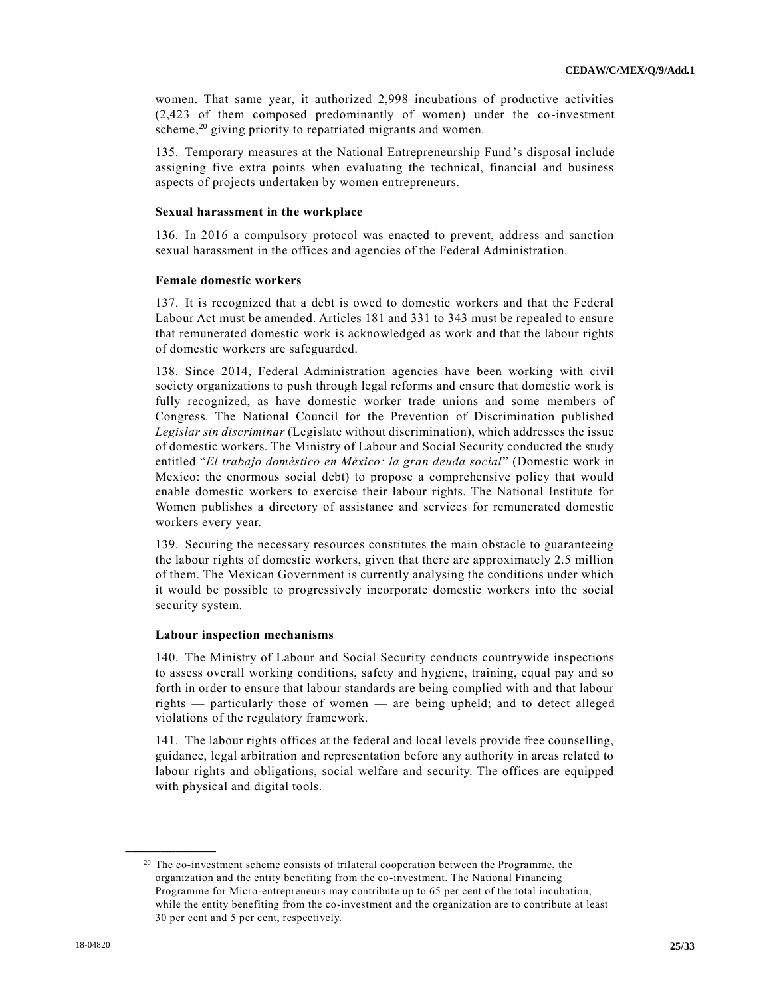women. That same year, it authorized 2,998 incubations of productive activities (2,423 of them composed predominantly of women) under the co-investment scheme,<sup>20</sup> giving priority to repatriated migrants and women.

135. Temporary measures at the National Entrepreneurship Fund's disposal include assigning five extra points when evaluating the technical, financial and business aspects of projects undertaken by women entrepreneurs.

## **Sexual harassment in the workplace**

136. In 2016 a compulsory protocol was enacted to prevent, address and sanction sexual harassment in the offices and agencies of the Federal Administration.

#### **Female domestic workers**

137. It is recognized that a debt is owed to domestic workers and that the Federal Labour Act must be amended. Articles 181 and 331 to 343 must be repealed to ensure that remunerated domestic work is acknowledged as work and that the labour rights of domestic workers are safeguarded.

138. Since 2014, Federal Administration agencies have been working with civil society organizations to push through legal reforms and ensure that domestic work is fully recognized, as have domestic worker trade unions and some members of Congress. The National Council for the Prevention of Discrimination published *Legislar sin discriminar* (Legislate without discrimination), which addresses the issue of domestic workers. The Ministry of Labour and Social Security conducted the study entitled "*El trabajo doméstico en México: la gran deuda social*" (Domestic work in Mexico: the enormous social debt) to propose a comprehensive policy that would enable domestic workers to exercise their labour rights. The National Institute for Women publishes a directory of assistance and services for remunerated domestic workers every year.

139. Securing the necessary resources constitutes the main obstacle to guaranteeing the labour rights of domestic workers, given that there are approximately 2.5 million of them. The Mexican Government is currently analysing the conditions under which it would be possible to progressively incorporate domestic workers into the social security system.

#### **Labour inspection mechanisms**

140. The Ministry of Labour and Social Security conducts countrywide inspections to assess overall working conditions, safety and hygiene, training, equal pay and so forth in order to ensure that labour standards are being complied with and that labour rights — particularly those of women — are being upheld; and to detect alleged violations of the regulatory framework.

141. The labour rights offices at the federal and local levels provide free counselling, guidance, legal arbitration and representation before any authority in areas related to labour rights and obligations, social welfare and security. The offices are equipped with physical and digital tools.

<sup>&</sup>lt;sup>20</sup> The co-investment scheme consists of trilateral cooperation between the Programme, the organization and the entity benefiting from the co-investment. The National Financing Programme for Micro-entrepreneurs may contribute up to 65 per cent of the total incubation, while the entity benefiting from the co-investment and the organization are to contribute at least 30 per cent and 5 per cent, respectively.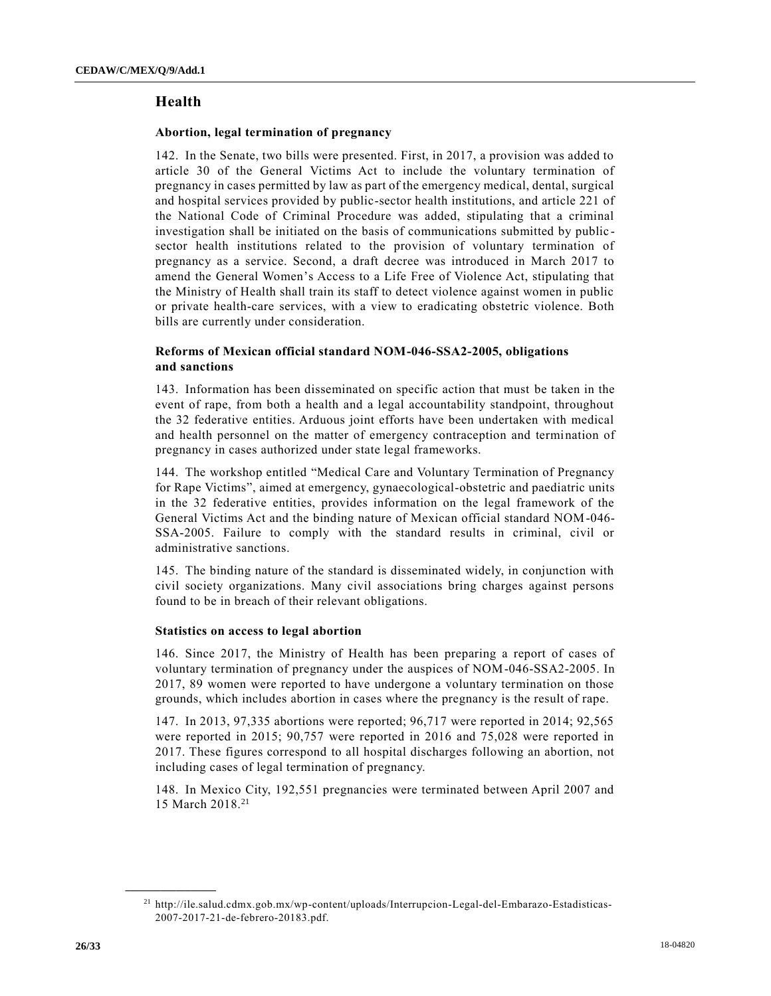## **Health**

#### **Abortion, legal termination of pregnancy**

142. In the Senate, two bills were presented. First, in 2017, a provision was added to article 30 of the General Victims Act to include the voluntary termination of pregnancy in cases permitted by law as part of the emergency medical, dental, surgical and hospital services provided by public-sector health institutions, and article 221 of the National Code of Criminal Procedure was added, stipulating that a criminal investigation shall be initiated on the basis of communications submitted by public sector health institutions related to the provision of voluntary termination of pregnancy as a service. Second, a draft decree was introduced in March 2017 to amend the General Women's Access to a Life Free of Violence Act, stipulating that the Ministry of Health shall train its staff to detect violence against women in public or private health-care services, with a view to eradicating obstetric violence. Both bills are currently under consideration.

## **Reforms of Mexican official standard NOM-046-SSA2-2005, obligations and sanctions**

143. Information has been disseminated on specific action that must be taken in the event of rape, from both a health and a legal accountability standpoint, throughout the 32 federative entities. Arduous joint efforts have been undertaken with medical and health personnel on the matter of emergency contraception and termination of pregnancy in cases authorized under state legal frameworks.

144. The workshop entitled "Medical Care and Voluntary Termination of Pregnancy for Rape Victims", aimed at emergency, gynaecological-obstetric and paediatric units in the 32 federative entities, provides information on the legal framework of the General Victims Act and the binding nature of Mexican official standard NOM-046- SSA-2005. Failure to comply with the standard results in criminal, civil or administrative sanctions.

145. The binding nature of the standard is disseminated widely, in conjunction with civil society organizations. Many civil associations bring charges against persons found to be in breach of their relevant obligations.

## **Statistics on access to legal abortion**

146. Since 2017, the Ministry of Health has been preparing a report of cases of voluntary termination of pregnancy under the auspices of NOM-046-SSA2-2005. In 2017, 89 women were reported to have undergone a voluntary termination on those grounds, which includes abortion in cases where the pregnancy is the result of rape.

147. In 2013, 97,335 abortions were reported; 96,717 were reported in 2014; 92,565 were reported in 2015; 90,757 were reported in 2016 and 75,028 were reported in 2017. These figures correspond to all hospital discharges following an abortion, not including cases of legal termination of pregnancy.

148. In Mexico City, 192,551 pregnancies were terminated between April 2007 and 15 March 2018.<sup>21</sup>

<sup>21</sup> http://ile.salud.cdmx.gob.mx/wp-content/uploads/Interrupcion-Legal-del-Embarazo-Estadisticas-2007-2017-21-de-febrero-20183.pdf.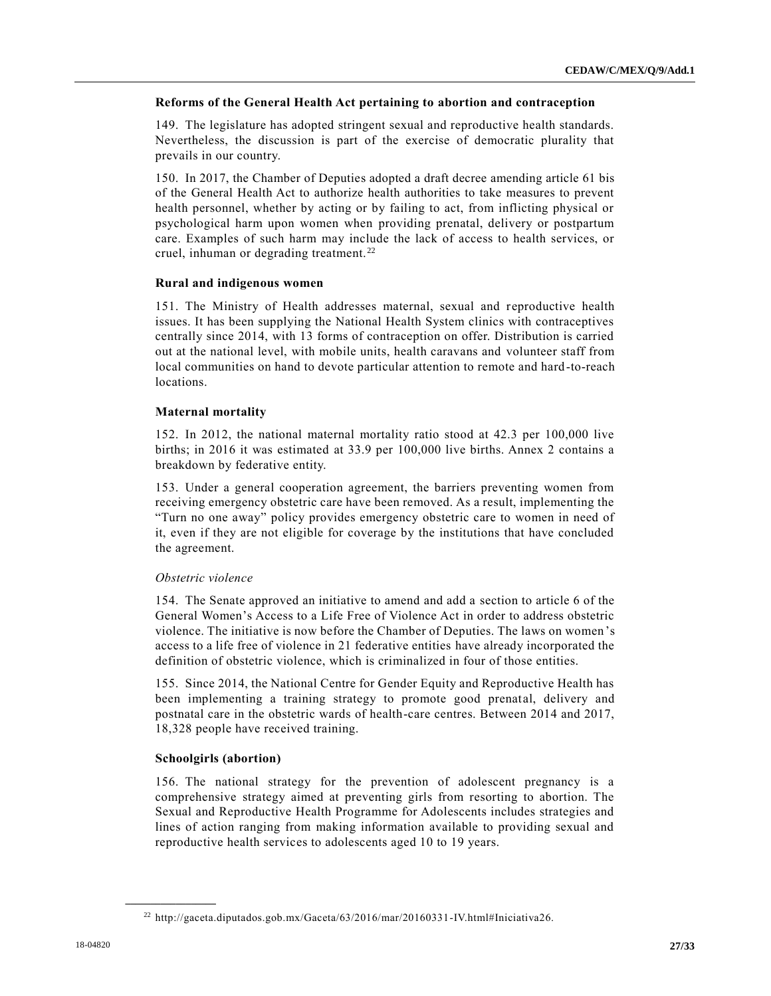## **Reforms of the General Health Act pertaining to abortion and contraception**

149. The legislature has adopted stringent sexual and reproductive health standards. Nevertheless, the discussion is part of the exercise of democratic plurality that prevails in our country.

150. In 2017, the Chamber of Deputies adopted a draft decree amending article 61 bis of the General Health Act to authorize health authorities to take measures to prevent health personnel, whether by acting or by failing to act, from inflicting physical or psychological harm upon women when providing prenatal, delivery or postpartum care. Examples of such harm may include the lack of access to health services, or cruel, inhuman or degrading treatment. <sup>22</sup>

## **Rural and indigenous women**

151. The Ministry of Health addresses maternal, sexual and reproductive health issues. It has been supplying the National Health System clinics with contraceptives centrally since 2014, with 13 forms of contraception on offer. Distribution is carried out at the national level, with mobile units, health caravans and volunteer staff from local communities on hand to devote particular attention to remote and hard -to-reach locations.

## **Maternal mortality**

152. In 2012, the national maternal mortality ratio stood at 42.3 per 100,000 live births; in 2016 it was estimated at 33.9 per 100,000 live births. Annex 2 contains a breakdown by federative entity.

153. Under a general cooperation agreement, the barriers preventing women from receiving emergency obstetric care have been removed. As a result, implementing the "Turn no one away" policy provides emergency obstetric care to women in need of it, even if they are not eligible for coverage by the institutions that have concluded the agreement.

## *Obstetric violence*

154. The Senate approved an initiative to amend and add a section to article 6 of the General Women's Access to a Life Free of Violence Act in order to address obstetric violence. The initiative is now before the Chamber of Deputies. The laws on women's access to a life free of violence in 21 federative entities have already incorporated the definition of obstetric violence, which is criminalized in four of those entities.

155. Since 2014, the National Centre for Gender Equity and Reproductive Health has been implementing a training strategy to promote good prenatal, delivery and postnatal care in the obstetric wards of health-care centres. Between 2014 and 2017, 18,328 people have received training.

## **Schoolgirls (abortion)**

**\_\_\_\_\_\_\_\_\_\_\_\_\_\_\_\_\_\_**

156. The national strategy for the prevention of adolescent pregnancy is a comprehensive strategy aimed at preventing girls from resorting to abortion. The Sexual and Reproductive Health Programme for Adolescents includes strategies and lines of action ranging from making information available to providing sexual and reproductive health services to adolescents aged 10 to 19 years.

<sup>22</sup> http://gaceta.diputados.gob.mx/Gaceta/63/2016/mar/20160331-IV.html#Iniciativa26.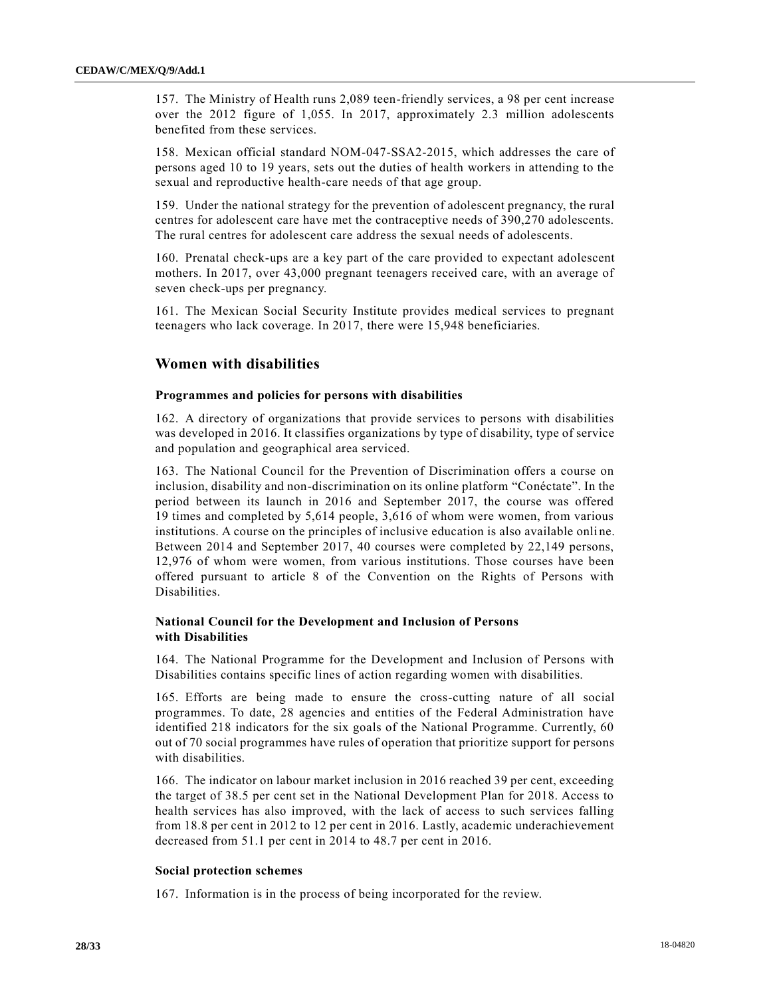157. The Ministry of Health runs 2,089 teen-friendly services, a 98 per cent increase over the 2012 figure of 1,055. In 2017, approximately 2.3 million adolescents benefited from these services.

158. Mexican official standard NOM-047-SSA2-2015, which addresses the care of persons aged 10 to 19 years, sets out the duties of health workers in attending to the sexual and reproductive health-care needs of that age group.

159. Under the national strategy for the prevention of adolescent pregnancy, the rural centres for adolescent care have met the contraceptive needs of 390,270 adolescents. The rural centres for adolescent care address the sexual needs of adolescents.

160. Prenatal check-ups are a key part of the care provided to expectant adolescent mothers. In 2017, over 43,000 pregnant teenagers received care, with an average of seven check-ups per pregnancy.

161. The Mexican Social Security Institute provides medical services to pregnant teenagers who lack coverage. In 2017, there were 15,948 beneficiaries.

## **Women with disabilities**

#### **Programmes and policies for persons with disabilities**

162. A directory of organizations that provide services to persons with disabilities was developed in 2016. It classifies organizations by type of disability, type of service and population and geographical area serviced.

163. The National Council for the Prevention of Discrimination offers a course on inclusion, disability and non-discrimination on its online platform "Conéctate". In the period between its launch in 2016 and September 2017, the course was offered 19 times and completed by 5,614 people, 3,616 of whom were women, from various institutions. A course on the principles of inclusive education is also available onli ne. Between 2014 and September 2017, 40 courses were completed by 22,149 persons, 12,976 of whom were women, from various institutions. Those courses have been offered pursuant to article 8 of the Convention on the Rights of Persons with Disabilities.

## **National Council for the Development and Inclusion of Persons with Disabilities**

164. The National Programme for the Development and Inclusion of Persons with Disabilities contains specific lines of action regarding women with disabilities.

165. Efforts are being made to ensure the cross-cutting nature of all social programmes. To date, 28 agencies and entities of the Federal Administration have identified 218 indicators for the six goals of the National Programme. Currently, 60 out of 70 social programmes have rules of operation that prioritize support for persons with disabilities.

166. The indicator on labour market inclusion in 2016 reached 39 per cent, exceeding the target of 38.5 per cent set in the National Development Plan for 2018. Access to health services has also improved, with the lack of access to such services falling from 18.8 per cent in 2012 to 12 per cent in 2016. Lastly, academic underachievement decreased from 51.1 per cent in 2014 to 48.7 per cent in 2016.

#### **Social protection schemes**

167. Information is in the process of being incorporated for the review.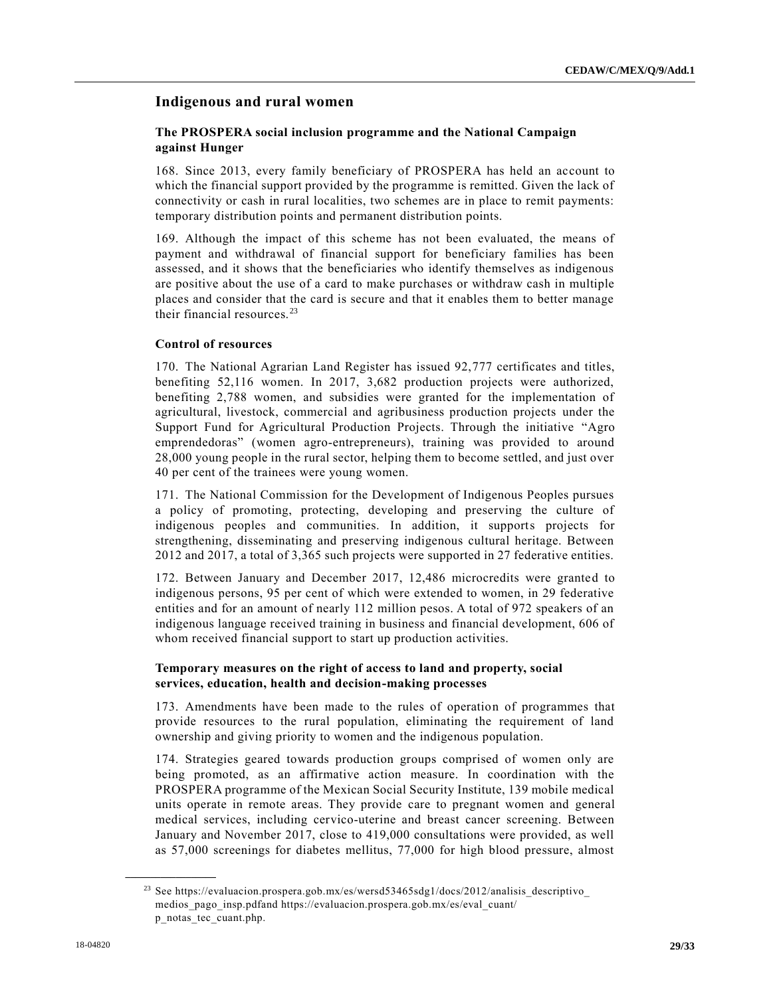## **Indigenous and rural women**

## **The PROSPERA social inclusion programme and the National Campaign against Hunger**

168. Since 2013, every family beneficiary of PROSPERA has held an account to which the financial support provided by the programme is remitted. Given the lack of connectivity or cash in rural localities, two schemes are in place to remit payments: temporary distribution points and permanent distribution points.

169. Although the impact of this scheme has not been evaluated, the means of payment and withdrawal of financial support for beneficiary families has been assessed, and it shows that the beneficiaries who identify themselves as indigenous are positive about the use of a card to make purchases or withdraw cash in multiple places and consider that the card is secure and that it enables them to better manage their financial resources.<sup>23</sup>

## **Control of resources**

170. The National Agrarian Land Register has issued 92,777 certificates and titles, benefiting 52,116 women. In 2017, 3,682 production projects were authorized, benefiting 2,788 women, and subsidies were granted for the implementation of agricultural, livestock, commercial and agribusiness production projects under the Support Fund for Agricultural Production Projects. Through the initiative "Agro emprendedoras" (women agro-entrepreneurs), training was provided to around 28,000 young people in the rural sector, helping them to become settled, and just over 40 per cent of the trainees were young women.

171. The National Commission for the Development of Indigenous Peoples pursues a policy of promoting, protecting, developing and preserving the culture of indigenous peoples and communities. In addition, it supports projects for strengthening, disseminating and preserving indigenous cultural heritage. Between 2012 and 2017, a total of 3,365 such projects were supported in 27 federative entities.

172. Between January and December 2017, 12,486 microcredits were granted to indigenous persons, 95 per cent of which were extended to women, in 29 federative entities and for an amount of nearly 112 million pesos. A total of 972 speakers of an indigenous language received training in business and financial development, 606 of whom received financial support to start up production activities.

## **Temporary measures on the right of access to land and property, social services, education, health and decision-making processes**

173. Amendments have been made to the rules of operation of programmes that provide resources to the rural population, eliminating the requirement of land ownership and giving priority to women and the indigenous population.

174. Strategies geared towards production groups comprised of women only are being promoted, as an affirmative action measure. In coordination with the PROSPERA programme of the Mexican Social Security Institute, 139 mobile medical units operate in remote areas. They provide care to pregnant women and general medical services, including cervico-uterine and breast cancer screening. Between January and November 2017, close to 419,000 consultations were provided, as well as 57,000 screenings for diabetes mellitus, 77,000 for high blood pressure, almost

<sup>23</sup> See https://evaluacion.prospera.gob.mx/es/wersd53465sdg1/docs/2012/analisis\_descriptivo\_ medios\_pago\_insp.pdfand https://evaluacion.prospera.gob.mx/es/eval\_cuant/ p\_notas\_tec\_cuant.php.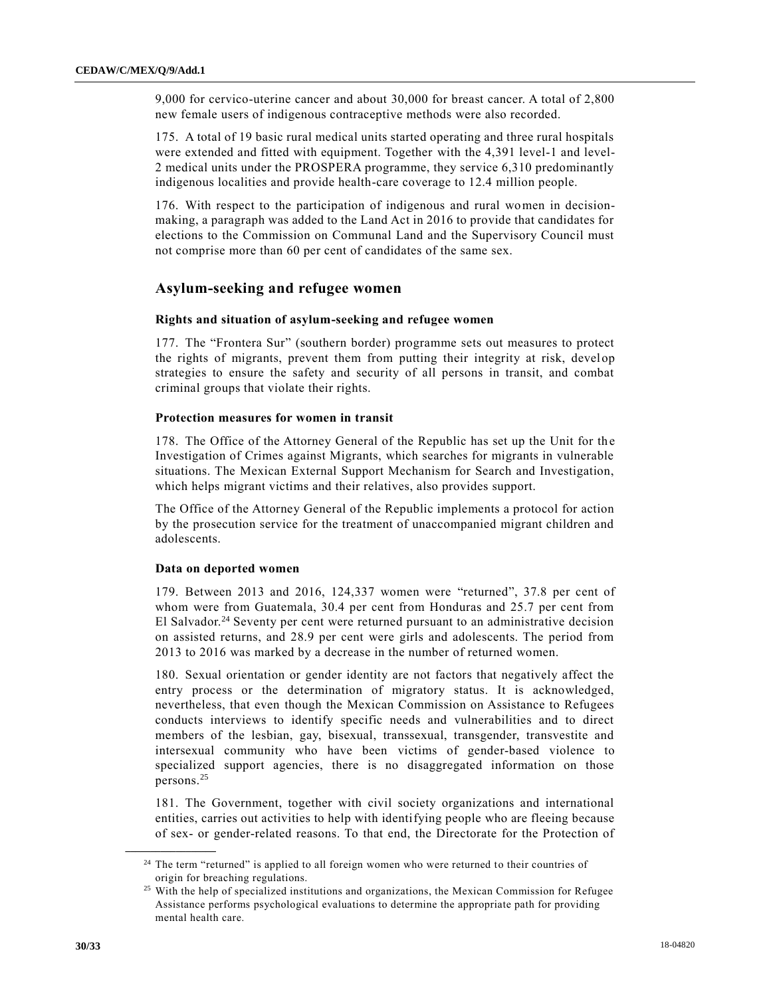9,000 for cervico-uterine cancer and about 30,000 for breast cancer. A total of 2,800 new female users of indigenous contraceptive methods were also recorded.

175. A total of 19 basic rural medical units started operating and three rural hospitals were extended and fitted with equipment. Together with the 4,391 level-1 and level-2 medical units under the PROSPERA programme, they service 6,310 predominantly indigenous localities and provide health-care coverage to 12.4 million people.

176. With respect to the participation of indigenous and rural women in decisionmaking, a paragraph was added to the Land Act in 2016 to provide that candidates for elections to the Commission on Communal Land and the Supervisory Council must not comprise more than 60 per cent of candidates of the same sex.

## **Asylum-seeking and refugee women**

#### **Rights and situation of asylum-seeking and refugee women**

177. The "Frontera Sur" (southern border) programme sets out measures to protect the rights of migrants, prevent them from putting their integrity at risk, develop strategies to ensure the safety and security of all persons in transit, and combat criminal groups that violate their rights.

#### **Protection measures for women in transit**

178. The Office of the Attorney General of the Republic has set up the Unit for th e Investigation of Crimes against Migrants, which searches for migrants in vulnerable situations. The Mexican External Support Mechanism for Search and Investigation, which helps migrant victims and their relatives, also provides support.

The Office of the Attorney General of the Republic implements a protocol for action by the prosecution service for the treatment of unaccompanied migrant children and adolescents.

#### **Data on deported women**

179. Between 2013 and 2016, 124,337 women were "returned", 37.8 per cent of whom were from Guatemala, 30.4 per cent from Honduras and 25.7 per cent from El Salvador.<sup>24</sup> Seventy per cent were returned pursuant to an administrative decision on assisted returns, and 28.9 per cent were girls and adolescents. The period from 2013 to 2016 was marked by a decrease in the number of returned women.

180. Sexual orientation or gender identity are not factors that negatively affect the entry process or the determination of migratory status. It is acknowledged, nevertheless, that even though the Mexican Commission on Assistance to Refugees conducts interviews to identify specific needs and vulnerabilities and to direct members of the lesbian, gay, bisexual, transsexual, transgender, transvestite and intersexual community who have been victims of gender-based violence to specialized support agencies, there is no disaggregated information on those persons.<sup>25</sup>

181. The Government, together with civil society organizations and international entities, carries out activities to help with identifying people who are fleeing because of sex- or gender-related reasons. To that end, the Directorate for the Protection of

<sup>&</sup>lt;sup>24</sup> The term "returned" is applied to all foreign women who were returned to their countries of origin for breaching regulations.

<sup>&</sup>lt;sup>25</sup> With the help of specialized institutions and organizations, the Mexican Commission for Refugee Assistance performs psychological evaluations to determine the appropriate path for providing mental health care.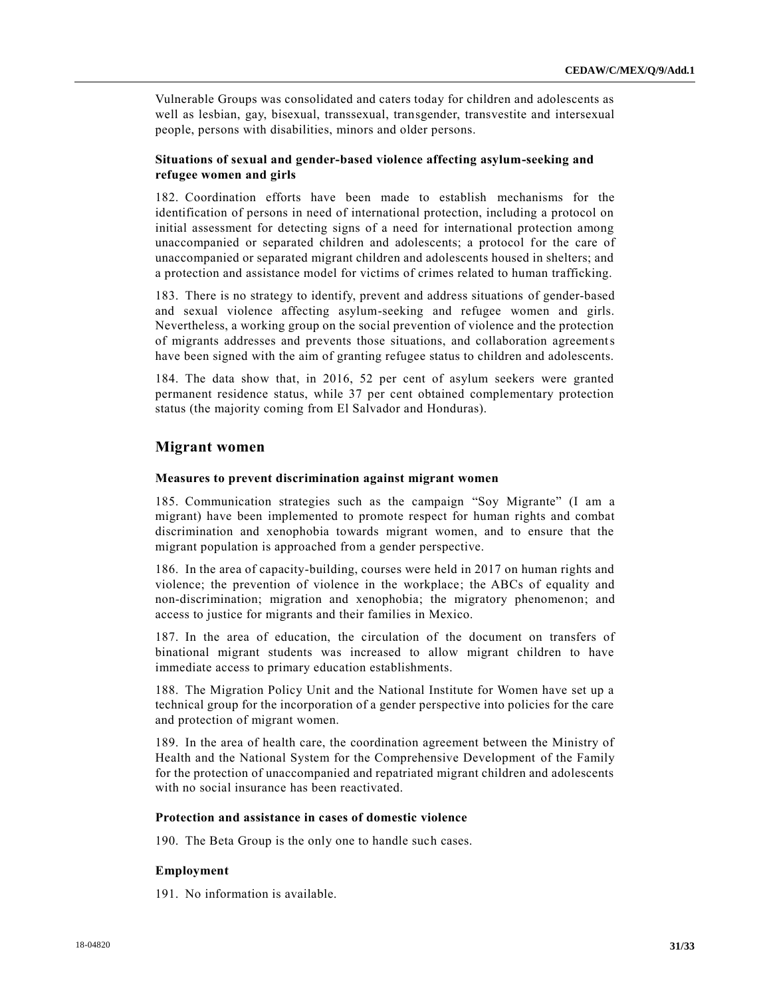Vulnerable Groups was consolidated and caters today for children and adolescents as well as lesbian, gay, bisexual, transsexual, transgender, transvestite and intersexual people, persons with disabilities, minors and older persons.

## **Situations of sexual and gender-based violence affecting asylum-seeking and refugee women and girls**

182. Coordination efforts have been made to establish mechanisms for the identification of persons in need of international protection, including a protocol on initial assessment for detecting signs of a need for international protection among unaccompanied or separated children and adolescents; a protocol for the care of unaccompanied or separated migrant children and adolescents housed in shelters; and a protection and assistance model for victims of crimes related to human trafficking.

183. There is no strategy to identify, prevent and address situations of gender-based and sexual violence affecting asylum-seeking and refugee women and girls. Nevertheless, a working group on the social prevention of violence and the protection of migrants addresses and prevents those situations, and collaboration agreements have been signed with the aim of granting refugee status to children and adolescents.

184. The data show that, in 2016, 52 per cent of asylum seekers were granted permanent residence status, while 37 per cent obtained complementary protection status (the majority coming from El Salvador and Honduras).

## **Migrant women**

#### **Measures to prevent discrimination against migrant women**

185. Communication strategies such as the campaign "Soy Migrante" (I am a migrant) have been implemented to promote respect for human rights and combat discrimination and xenophobia towards migrant women, and to ensure that the migrant population is approached from a gender perspective.

186. In the area of capacity-building, courses were held in 2017 on human rights and violence; the prevention of violence in the workplace; the ABCs of equality and non-discrimination; migration and xenophobia; the migratory phenomenon; and access to justice for migrants and their families in Mexico.

187. In the area of education, the circulation of the document on transfers of binational migrant students was increased to allow migrant children to have immediate access to primary education establishments.

188. The Migration Policy Unit and the National Institute for Women have set up a technical group for the incorporation of a gender perspective into policies for the care and protection of migrant women.

189. In the area of health care, the coordination agreement between the Ministry of Health and the National System for the Comprehensive Development of the Family for the protection of unaccompanied and repatriated migrant children and adolescents with no social insurance has been reactivated.

## **Protection and assistance in cases of domestic violence**

190. The Beta Group is the only one to handle such cases.

## **Employment**

191. No information is available.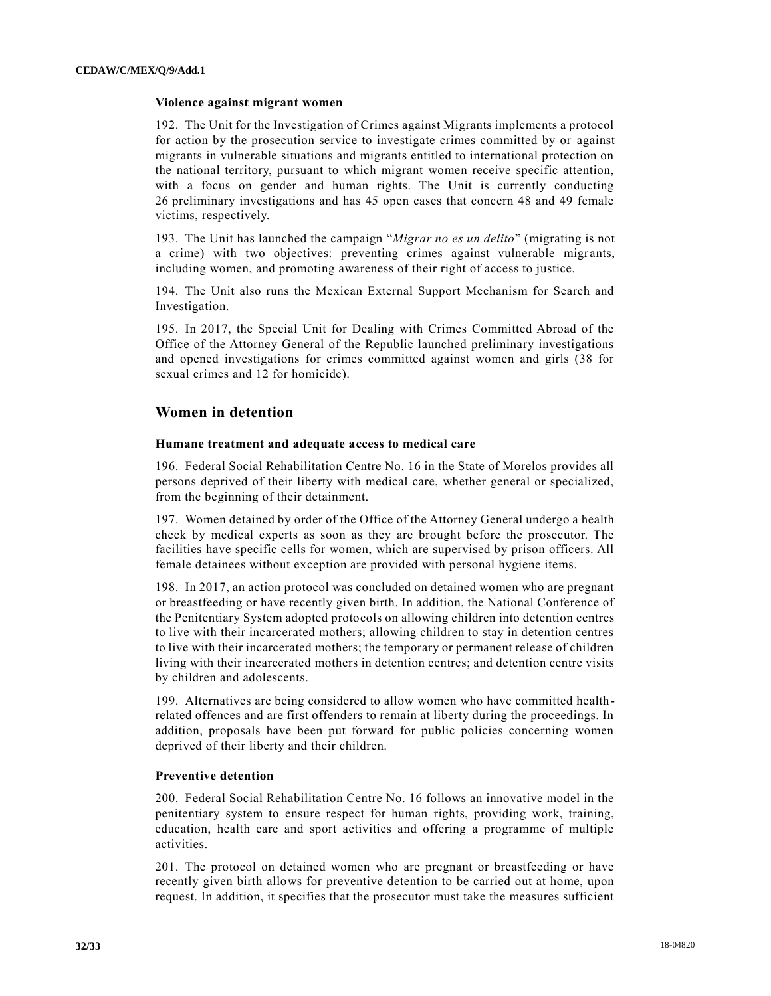#### **Violence against migrant women**

192. The Unit for the Investigation of Crimes against Migrants implements a protocol for action by the prosecution service to investigate crimes committed by or against migrants in vulnerable situations and migrants entitled to international protection on the national territory, pursuant to which migrant women receive specific attention, with a focus on gender and human rights. The Unit is currently conducting 26 preliminary investigations and has 45 open cases that concern 48 and 49 female victims, respectively.

193. The Unit has launched the campaign "*Migrar no es un delito*" (migrating is not a crime) with two objectives: preventing crimes against vulnerable migrants, including women, and promoting awareness of their right of access to justice.

194. The Unit also runs the Mexican External Support Mechanism for Search and Investigation.

195. In 2017, the Special Unit for Dealing with Crimes Committed Abroad of the Office of the Attorney General of the Republic launched preliminary investigations and opened investigations for crimes committed against women and girls (38 for sexual crimes and 12 for homicide).

## **Women in detention**

## **Humane treatment and adequate access to medical care**

196. Federal Social Rehabilitation Centre No. 16 in the State of Morelos provides all persons deprived of their liberty with medical care, whether general or specialized, from the beginning of their detainment.

197. Women detained by order of the Office of the Attorney General undergo a health check by medical experts as soon as they are brought before the prosecutor. The facilities have specific cells for women, which are supervised by prison officers. All female detainees without exception are provided with personal hygiene items.

198. In 2017, an action protocol was concluded on detained women who are pregnant or breastfeeding or have recently given birth. In addition, the National Conference of the Penitentiary System adopted protocols on allowing children into detention centres to live with their incarcerated mothers; allowing children to stay in detention centres to live with their incarcerated mothers; the temporary or permanent release of children living with their incarcerated mothers in detention centres; and detention centre visits by children and adolescents.

199. Alternatives are being considered to allow women who have committed healthrelated offences and are first offenders to remain at liberty during the proceedings. In addition, proposals have been put forward for public policies concerning women deprived of their liberty and their children.

## **Preventive detention**

200. Federal Social Rehabilitation Centre No. 16 follows an innovative model in the penitentiary system to ensure respect for human rights, providing work, training, education, health care and sport activities and offering a programme of multiple activities.

201. The protocol on detained women who are pregnant or breastfeeding or have recently given birth allows for preventive detention to be carried out at home, upon request. In addition, it specifies that the prosecutor must take the measures sufficient